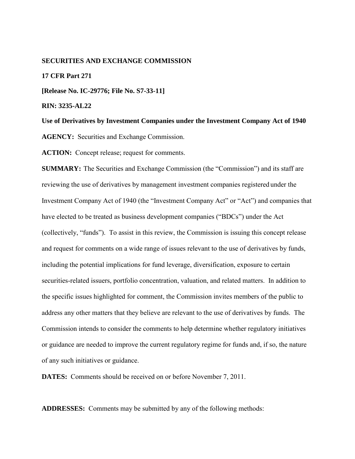### **SECURITIES AND EXCHANGE COMMISSION**

#### **17 CFR Part 271**

**[Release No. IC-29776; File No. S7-33-11]** 

**RIN: 3235-AL22**

**Use of Derivatives by Investment Companies under the Investment Company Act of 1940** 

**AGENCY:** Securities and Exchange Commission.

**ACTION:** Concept release; request for comments.

**SUMMARY:** The Securities and Exchange Commission (the "Commission") and its staff are reviewing the use of derivatives by management investment companies registered under the Investment Company Act of 1940 (the "Investment Company Act" or "Act") and companies that have elected to be treated as business development companies ("BDCs") under the Act (collectively, "funds"). To assist in this review, the Commission is issuing this concept release and request for comments on a wide range of issues relevant to the use of derivatives by funds, including the potential implications for fund leverage, diversification, exposure to certain securities-related issuers, portfolio concentration, valuation, and related matters. In addition to the specific issues highlighted for comment, the Commission invites members of the public to address any other matters that they believe are relevant to the use of derivatives by funds. The Commission intends to consider the comments to help determine whether regulatory initiatives or guidance are needed to improve the current regulatory regime for funds and, if so, the nature of any such initiatives or guidance.

**DATES:** Comments should be received on or before November 7, 2011.

**ADDRESSES:** Comments may be submitted by any of the following methods: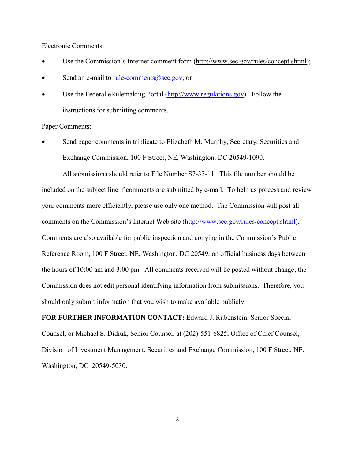Electronic Comments:

- Use the Commission's Internet comment form (http://www.sec.gov/rules/concept.shtml);
- Send an e-mail to rule-comments  $(a)$  sec.gov; or
- Use the Federal eRulemaking Portal [\(http://www.regulations.gov\)](http://www.regulations.gov/). Follow the instructions for submitting comments.

Paper Comments:

• Send paper comments in triplicate to Elizabeth M. Murphy, Secretary, Securities and Exchange Commission, 100 F Street, NE, Washington, DC 20549-1090.

All submissions should refer to File Number S7-33-11. This file number should be included on the subject line if comments are submitted by e-mail. To help us process and review your comments more efficiently, please use only one method. The Commission will post all comments on the Commission's Internet Web site [\(http://www.sec.gov/rules/concept.shtml\)](http://www.sec.gov/rules/concept.shtml). Comments are also available for public inspection and copying in the Commission's Public Reference Room, 100 F Street, NE, Washington, DC 20549, on official business days between the hours of 10:00 am and 3:00 pm. All comments received will be posted without change; the Commission does not edit personal identifying information from submissions. Therefore, you should only submit information that you wish to make available publicly.

**FOR FURTHER INFORMATION CONTACT:** Edward J. Rubenstein, Senior Special Counsel, or Michael S. Didiuk, Senior Counsel, at (202)-551-6825, Office of Chief Counsel, Division of Investment Management, Securities and Exchange Commission, 100 F Street, NE, Washington, DC 20549-5030.

2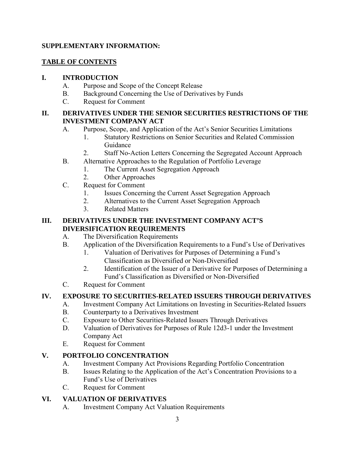# **SUPPLEMENTARY INFORMATION:**

# **TABLE OF CONTENTS**

# **I. INTRODUCTION**

- A. Purpose and Scope of the Concept Release
- B. Background Concerning the Use of Derivatives by Funds
- C. Request for Comment

# **II. DERIVATIVES UNDER THE SENIOR SECURITIES RESTRICTIONS OF THE INVESTMENT COMPANY ACT**

- A. Purpose, Scope, and Application of the Act's Senior Securities Limitations
	- 1. Statutory Restrictions on Senior Securities and Related Commission Guidance
	- 2. Staff No-Action Letters Concerning the Segregated Account Approach
- B. Alternative Approaches to the Regulation of Portfolio Leverage
	- 1. The Current Asset Segregation Approach
		- 2. Other Approaches
- C. Request for Comment
	- 1. Issues Concerning the Current Asset Segregation Approach
	- 2. Alternatives to the Current Asset Segregation Approach
	- 3. Related Matters

## **III. DERIVATIVES UNDER THE INVESTMENT COMPANY ACT'S DIVERSIFICATION REQUIREMENTS**

# A. The Diversification Requirements

- B. Application of the Diversification Requirements to a Fund's Use of Derivatives
	- 1. Valuation of Derivatives for Purposes of Determining a Fund's Classification as Diversified or Non-Diversified
	- 2. Identification of the Issuer of a Derivative for Purposes of Determining a Fund's Classification as Diversified or Non-Diversified
- C. Request for Comment

# **IV. EXPOSURE TO SECURITIES-RELATED ISSUERS THROUGH DERIVATIVES**

- A. Investment Company Act Limitations on Investing in Securities-Related Issuers
- B. Counterparty to a Derivatives Investment
- C. Exposure to Other Securities-Related Issuers Through Derivatives
- D. Valuation of Derivatives for Purposes of Rule 12d3-1 under the Investment Company Act
- E. Request for Comment

# **V. PORTFOLIO CONCENTRATION**

- A. Investment Company Act Provisions Regarding Portfolio Concentration
- B. Issues Relating to the Application of the Act's Concentration Provisions to a Fund's Use of Derivatives
- C. Request for Comment

# **VI. VALUATION OF DERIVATIVES**

A. Investment Company Act Valuation Requirements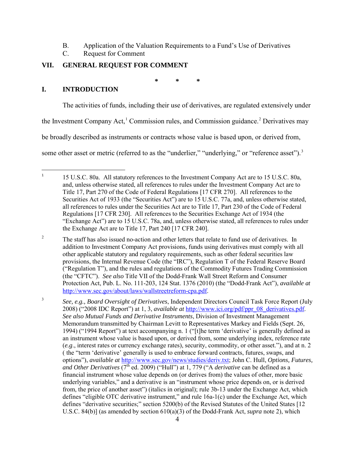- B. Application of the Valuation Requirements to a Fund's Use of Derivatives
- C. Request for Comment

# **VII. GENERAL REQUEST FOR COMMENT**

<span id="page-3-4"></span><span id="page-3-0"></span>**\* \* \*** 

# **I. INTRODUCTION**

<span id="page-3-1"></span> $\frac{1}{1}$ 

The activities of funds, including their use of derivatives, are regulated extensively under

the Investment Company Act,<sup>[1](#page-3-1)</sup> Commission rules, and Commission guidance.<sup>[2](#page-3-2)</sup> Derivatives may

be broadly described as instruments or contracts whose value is based upon, or derived from,

some other asset or metric (referred to as the "underlier," "underlying," or "reference asset").<sup>[3](#page-3-3)</sup>

<span id="page-3-2"></span>2 The staff has also issued no-action and other letters that relate to fund use of derivatives. In addition to Investment Company Act provisions, funds using derivatives must comply with all other applicable statutory and regulatory requirements, such as other federal securities law provisions, the Internal Revenue Code (the "IRC"), Regulation T of the Federal Reserve Board ("Regulation T"), and the rules and regulations of the Commodity Futures Trading Commission (the "CFTC"). *See also* Title VII of the Dodd-Frank Wall Street Reform and Consumer Protection Act, Pub. L. No. 111-203, 124 Stat. 1376 (2010) (the "Dodd-Frank Act"), *available at* [http://www.sec.gov/about/laws/wallstreetreform-cpa.pdf.](http://www.sec.gov/about/laws/wallstreetreform-cpa.pdf)

<span id="page-3-3"></span>3 *See, e.g., Board Oversight of Derivatives*, Independent Directors Council Task Force Report (July 2008) ("2008 IDC Report") at 1, 3, *available at* [http://www.ici.org/pdf/ppr\\_08\\_derivatives.pdf.](http://www.ici.org/pdf/ppr_08_derivatives.pdf) *See also Mutual Funds and Derivative Instruments*, Division of Investment Management Memorandum transmitted by Chairman Levitt to Representatives Markey and Fields (Sept. 26, 1994) ("1994 Report") at text accompanying n. 1 ("[t]he term 'derivative' is generally defined as an instrument whose value is based upon, or derived from, some underlying index, reference rate (*e.g*., interest rates or currency exchange rates), security, commodity, or other asset."), and at n. 2 ( the "term 'derivative' generally is used to embrace forward contracts, futures, swaps, and options"), *available at* [http://www.sec.gov/news/studies/deriv.txt;](http://www.sec.gov/news/studies/deriv.txt) John C. Hull, *Options, Futures, and Other Derivatives*  $(7<sup>th</sup>$  ed. 2009) ("Hull") at 1, 779 ("A *derivative* can be defined as a financial instrument whose value depends on (or derives from) the values of other, more basic underlying variables," and a derivative is an "instrument whose price depends on, or is derived from, the price of another asset") (italics in original); rule 3b-13 under the Exchange Act, which defines "eligible OTC derivative instrument," and rule 16a-1(c) under the Exchange Act, which defines "derivative securities;" section 5200(b) of the Revised Statutes of the United States [12 U.S.C. 84(b)] (as amended by section 610(a)(3) of the Dodd-Frank Act, *supra* note [2\)](#page-3-0), which

 <sup>15</sup> U.S.C. 80a. All statutory references to the Investment Company Act are to 15 U.S.C. 80a, and, unless otherwise stated, all references to rules under the Investment Company Act are to Title 17, Part 270 of the Code of Federal Regulations [17 CFR 270]. All references to the Securities Act of 1933 (the "Securities Act") are to 15 U.S.C. 77a, and, unless otherwise stated, all references to rules under the Securities Act are to Title 17, Part 230 of the Code of Federal Regulations [17 CFR 230]. All references to the Securities Exchange Act of 1934 (the "Exchange Act") are to 15 U.S.C. 78a, and, unless otherwise stated, all references to rules under the Exchange Act are to Title 17, Part 240 [17 CFR 240].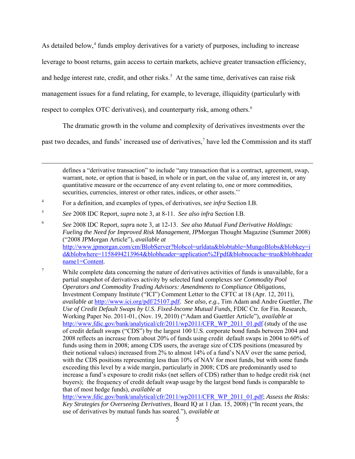As detailed below,<sup>[4](#page-4-0)</sup> funds employ derivatives for a variety of purposes, including to increase leverage to boost returns, gain access to certain markets, achieve greater transaction efficiency, and hedge interest rate, credit, and other risks.<sup>[5](#page-4-1)</sup> At the same time, derivatives can raise risk management issues for a fund relating, for example, to leverage, illiquidity (particularly with respect to complex OTC derivatives), and counterparty risk, among others.<sup>[6](#page-4-2)</sup>

<span id="page-4-5"></span><span id="page-4-4"></span>The dramatic growth in the volume and complexity of derivatives investments over the

past two decades, and funds' increased use of derivatives, [7](#page-4-3) have led the Commission and its staff

defines a "derivative transaction" to include "any transaction that is a contract, agreement, swap, warrant, note, or option that is based, in whole or in part, on the value of, any interest in, or any quantitative measure or the occurrence of any event relating to, one or more commodities, securities, currencies, interest or other rates, indices, or other assets."

 $\overline{a}$ 

[http://www.fdic.gov/bank/analytical/cfr/2011/wp2011/CFR\\_WP\\_2011\\_01.pdf;](http://www.fdic.gov/bank/analytical/cfr/2011/wp2011/CFR_WP_2011_01.pdf) *Assess the Risks: Key Strategies for Overseeing Derivatives*, Board IQ at 1 (Jan. 15, 2008) ("In recent years, the use of derivatives by mutual funds has soared."), *available at*

<span id="page-4-0"></span><sup>4</sup> For a definition, and examples of types, of derivatives, *see infra* Section I.B.

<span id="page-4-1"></span><sup>5</sup>*See* 2008 IDC Report, *supra* note [3,](#page-3-4) at 8-11. *See also infra* Section I.B.

<span id="page-4-2"></span><sup>6</sup> *See* 2008 IDC Report, *supr*a note [3,](#page-3-4) at 12-13. *See also Mutual Fund Derivative Holdings: Fueling the Need for Improved Risk Management*, JPMorgan Thought Magazine (Summer 2008) ("2008 JPMorgan Article"), *available at* [http://www.jpmorgan.com/cm/BlobServer?blobcol=urldata&blobtable=MungoBlobs&blobkey=i](http://www.jpmorgan.com/cm/BlobServer?blobcol=urldata&blobtable=MungoBlobs&blobkey=id&blobwhere=1158494213964&blobheader=application%2Fpdf&blobnocache=true&blobheadername1=Content) [d&blobwhere=1158494213964&blobheader=application%2Fpdf&blobnocache=true&blobheader](http://www.jpmorgan.com/cm/BlobServer?blobcol=urldata&blobtable=MungoBlobs&blobkey=id&blobwhere=1158494213964&blobheader=application%2Fpdf&blobnocache=true&blobheadername1=Content) [name1=Content.](http://www.jpmorgan.com/cm/BlobServer?blobcol=urldata&blobtable=MungoBlobs&blobkey=id&blobwhere=1158494213964&blobheader=application%2Fpdf&blobnocache=true&blobheadername1=Content)

<span id="page-4-3"></span><sup>7</sup> While complete data concerning the nature of derivatives activities of funds is unavailable, for a partial snapshot of derivatives activity by selected fund complexes *see Commodity Pool Operators and Commodity Trading Advisors: Amendments to Compliance Obligations,* Investment Company Institute ("ICI") Comment Letter to the CFTC at 18 (Apr. 12, 2011), *available at* [http://www.ici.org/pdf/25107.pdf.](http://www.ici.org/pdf/25107.pdf) *See also, e.g.,* Tim Adam and Andre Guettler, *The Use of Credit Default Swaps by U.S. Fixed-Income Mutual Funds,* FDIC Ctr. for Fin. Research, Working Paper No. 2011-01, (Nov. 19, 2010) ("Adam and Guettler Article"), *available at* [http://www.fdic.gov/bank/analytical/cfr/2011/wp2011/CFR\\_WP\\_2011\\_01.pdf](http://www.fdic.gov/bank/analytical/cfr/2011/wp2011/CFR_WP_2011_01.pdf) (study of the use of credit default swaps ("CDS") by the largest 100 U.S. corporate bond funds between 2004 and 2008 reflects an increase from about 20% of funds using credit default swaps in 2004 to 60% of funds using them in 2008; among CDS users, the average size of CDS positions (measured by their notional values) increased from 2% to almost 14% of a fund's NAV over the same period, with the CDS positions representing less than 10% of NAV for most funds, but with some funds exceeding this level by a wide margin, particularly in 2008; CDS are predominantly used to increase a fund's exposure to credit risks (net sellers of CDS) rather than to hedge credit risk (net buyers); the frequency of credit default swap usage by the largest bond funds is comparable to that of most hedge funds), *available at*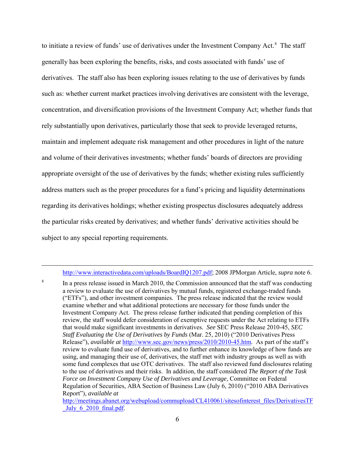<span id="page-5-1"></span>to initiate a review of funds' use of derivatives under the Investment Company Act.<sup>[8](#page-5-0)</sup> The staff generally has been exploring the benefits, risks, and costs associated with funds' use of derivatives. The staff also has been exploring issues relating to the use of derivatives by funds such as: whether current market practices involving derivatives are consistent with the leverage, concentration, and diversification provisions of the Investment Company Act; whether funds that rely substantially upon derivatives, particularly those that seek to provide leveraged returns, maintain and implement adequate risk management and other procedures in light of the nature and volume of their derivatives investments; whether funds' boards of directors are providing appropriate oversight of the use of derivatives by the funds; whether existing rules sufficiently address matters such as the proper procedures for a fund's pricing and liquidity determinations regarding its derivatives holdings; whether existing prospectus disclosures adequately address the particular risks created by derivatives; and whether funds' derivative activities should be subject to any special reporting requirements.

<http://www.interactivedata.com/uploads/BoardIQ1207.pdf> ; 2008 JPMorgan Article, *supra* not[e 6.](#page-4-4)

<span id="page-5-0"></span><sup>8</sup> In a press release issued in March 2010, the Commission announced that the staff was conducting a review to evaluate the use of derivatives by mutual funds, registered exchange-traded funds ("ETFs"), and other investment companies. The press release indicated that the review would examine whether and what additional protections are necessary for those funds under the Investment Company Act. The press release further indicated that pending completion of this review, the staff would defer consideration of exemptive requests under the Act relating to ETFs that would make significant investments in derivatives. *See* SEC Press Release 2010-45, *SEC Staff Evaluating the Use of Derivatives by Funds* (Mar. 25, 2010) ("2010 Derivatives Press Release"), *available at* [http://www.sec.gov/news/press/2010/2010-45.htm.](http://www.sec.gov/news/press/2010/2010-45.htm) As part of the staff's review to evaluate fund use of derivatives, and to further enhance its knowledge of how funds are using, and managing their use of, derivatives, the staff met with industry groups as well as with some fund complexes that use OTC derivatives. The staff also reviewed fund disclosures relating to the use of derivatives and their risks. In addition, the staff considered *The Report of the Task Force on Investment Company Use of Derivatives and Leverage*, Committee on Federal Regulation of Securities, ABA Section of Business Law (July 6, 2010) ("2010 ABA Derivatives Report"), *available at*

[http://meetings.abanet.org/webupload/commupload/CL410061/sitesofinterest\\_files/DerivativesTF](http://meetings.abanet.org/webupload/commupload/CL410061/sitesofinterest_files/DerivativesTF_July_6_2010_final.pdf) July  $62010$  final.pdf.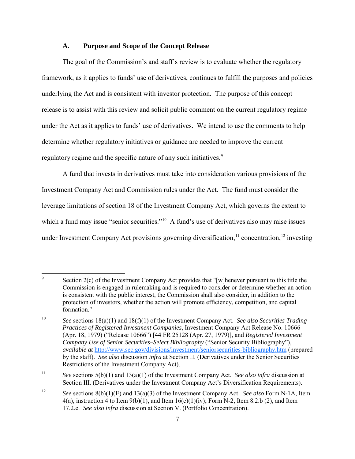### **A. Purpose and Scope of the Concept Release**

 The goal of the Commission's and staff's review is to evaluate whether the regulatory framework, as it applies to funds' use of derivatives, continues to fulfill the purposes and policies underlying the Act and is consistent with investor protection. The purpose of this concept release is to assist with this review and solicit public comment on the current regulatory regime under the Act as it applies to funds' use of derivatives. We intend to use the comments to help determine whether regulatory initiatives or guidance are needed to improve the current regulatory regime and the specific nature of any such initiatives.<sup>[9](#page-6-0)</sup>

<span id="page-6-4"></span> A fund that invests in derivatives must take into consideration various provisions of the Investment Company Act and Commission rules under the Act. The fund must consider the leverage limitations of section 18 of the Investment Company Act, which governs the extent to which a fund may issue "senior securities."<sup>[10](#page-6-1)</sup> A fund's use of derivatives also may raise issues under Investment Company Act provisions governing diversification,<sup>[11](#page-6-2)</sup> concentration,<sup>[12](#page-6-3)</sup> investing

<span id="page-6-0"></span><sup>-&</sup>lt;br>9 Section 2(c) of the Investment Company Act provides that "[w]henever pursuant to this title the Commission is engaged in rulemaking and is required to consider or determine whether an action is consistent with the public interest, the Commission shall also consider, in addition to the protection of investors, whether the action will promote efficiency, competition, and capital formation."

<span id="page-6-1"></span><sup>10</sup>*See* sections 18(a)(1) and 18(f)(1) of the Investment Company Act. *See also Securities Trading Practices of Registered Investment Companies*, Investment Company Act Release No. 10666 (Apr. 18, 1979) ("Release 10666") [44 FR 25128 (Apr. 27, 1979)], and *Registered Investment Company Use of Senior Securities–Select Bibliography* ("Senior Security Bibliography"), *available at* <http://www.sec.gov/divisions/investment/seniorsecurities-bibliography.htm>(prepared by the staff). *See also* discussion *infra* at Section II. (Derivatives under the Senior Securities Restrictions of the Investment Company Act).

<span id="page-6-2"></span><sup>11</sup> *See* sections 5(b)(1) and 13(a)(1) of the Investment Company Act. *See also infra* discussion at Section III. (Derivatives under the Investment Company Act's Diversification Requirements).

<span id="page-6-3"></span><sup>12</sup>*See* sections 8(b)(1)(E) and 13(a)(3) of the Investment Company Act. *See also* Form N-1A, Item  $4(a)$ , instruction 4 to Item  $9(b)(1)$ , and Item  $16(c)(1)(iv)$ ; Form N-2, Item 8.2.b (2), and Item 17.2.e. *See also infra* discussion at Section V. (Portfolio Concentration).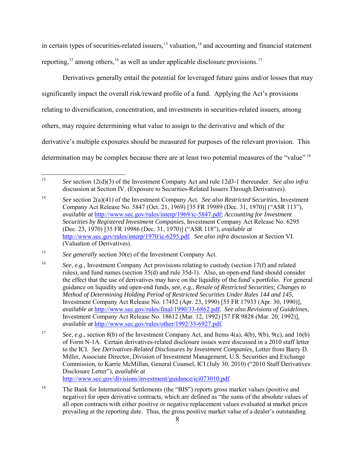<span id="page-7-7"></span>in certain types of securities-related issuers, $13$  valuation, $14$  and accounting and financial statement reporting,  $15$  among others,  $16$  as well as under applicable disclosure provisions.<sup>[17](#page-7-4)</sup>

Derivatives generally entail the potential for leveraged future gains and/or losses that may significantly impact the overall risk/reward profile of a fund. Applying the Act's provisions relating to diversification, concentration, and investments in securities-related issuers, among others, may require determining what value to assign to the derivative and which of the derivative's multiple exposures should be measured for purposes of the relevant provision. This determination may be complex because there are at least two potential measures of the "value" [18](#page-7-5)

<span id="page-7-6"></span><span id="page-7-0"></span><sup>13</sup> 13 *See* section 12(d)(3) of the Investment Company Act and rule 12d3-1 thereunder. *See also infra* discussion at Section IV. (Exposure to Securities-Related Issuers Through Derivatives).

<span id="page-7-1"></span><sup>14</sup>*See* section 2(a)(41) of the Investment Company Act. *See also Restricted Securities*, Investment Company Act Release No. 5847 (Oct. 21, 1969) [35 FR 19989 (Dec. 31, 1970)] ("ASR 113"), *available at* [http://www.sec.gov/rules/interp/1969/ic-5847.pdf;](http://www.sec.gov/rules/interp/1969/ic-5847.pdf) *Accounting for Investment Securities by Registered Investment Companies*, Investment Company Act Release No. 6295 (Dec. 23, 1970) [35 FR 19986 (Dec. 31, 1970)] ("ASR 118"), *available at* [http://www.sec.gov/rules/interp/1970/ic-6295.pdf.](http://www.sec.gov/rules/interp/1970/ic-6295.pdf) *See also infra* discussion at Section VI. (Valuation of Derivatives).

<span id="page-7-2"></span><sup>&</sup>lt;sup>15</sup> See generally section 30(e) of the Investment Company Act.

<span id="page-7-3"></span><sup>16</sup> *See*, *e.g.,* Investment Company Act provisions relating to custody (section 17(f) and related rules), and fund names (section 35(d) and rule 35d-1). Also, an open-end fund should consider the effect that the use of derivatives may have on the liquidity of the fund's portfolio. For general guidance on liquidity and open-end funds, *see, e.g.*, *Resale of Restricted Securities; Changes to Method of Determining Holding Period of Restricted Securities Under Rules 144 and 145*, Investment Company Act Release No. 17452 (Apr. 23, 1990) [55 FR 17933 (Apr. 30, 1990)], *available at* [http://www.sec.gov/rules/final/1990/33-6862.pdf.](http://www.sec.gov/rules/final/1990/33-6862.pdf) *See also Revisions of Guidelines*, Investment Company Act Release No. 18612 (Mar. 12, 1992) [57 FR 9828 (Mar. 20, 1992)], *available at* [http://www.sec.gov/rules/other/1992/33-6927.pdf.](http://www.sec.gov/rules/other/1992/33-6927.pdf)

<span id="page-7-4"></span><sup>17</sup>*See, e.g*., section 8(b) of the Investment Company Act, and Items 4(a), 4(b), 9(b), 9(c), and 16(b) of Form N-1A. Certain derivatives-related disclosure issues were discussed in a 2010 staff letter to the ICI. *See Derivatives-Related Disclosures by Investment Companies*, Letter from Barry D. Miller, Associate Director, Division of Investment Management, U.S. Securities and Exchange Commission, to Karrie McMillan, General Counsel, ICI (July 30, 2010) ("2010 Staff Derivatives Disclosure Letter"), *available at* [http://www.sec.gov/divisions/investment/guidance/ici073010.pdf.](http://www.sec.gov/divisions/investment/guidance/ici073010.pdf)

<span id="page-7-5"></span><sup>&</sup>lt;sup>18</sup> The Bank for International Settlements (the "BIS") reports gross market values (positive and negative) for open derivative contracts, which are defined as "the sums of the absolute values of all open contracts with either positive or negative replacement values evaluated at market prices prevailing at the reporting date. Thus, the gross positive market value of a dealer's outstanding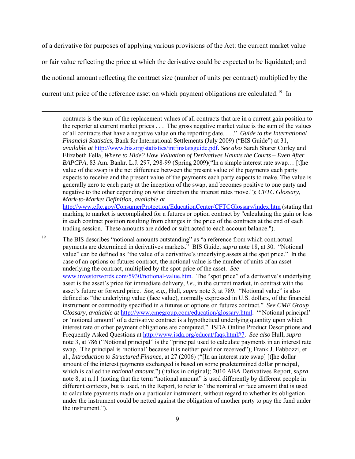of a derivative for purposes of applying various provisions of the Act: the current market value or fair value reflecting the price at which the derivative could be expected to be liquidated; and the notional amount reflecting the contract size (number of units per contract) multiplied by the current unit price of the reference asset on which payment obligations are calculated.<sup>[19](#page-8-0)</sup> In

contracts is the sum of the replacement values of all contracts that are in a current gain position to the reporter at current market prices . . . The gross negative market value is the sum of the values of all contracts that have a negative value on the reporting date. . . ." *Guide to the International Financial Statistics*, Bank for International Settlements (July 2009) ("BIS Guide") at 31, *available at* [http://www.bis.org/statistics/intfinstatsguide.pdf.](http://www.bis.org/statistics/intfinstatsguide.pdf) *See also* Sarah Sharer Curley and Elizabeth Fella, *Where to Hide? How Valuation of Derivatives Haunts the Courts – Even After BAPCPA*, 83 Am. Bankr. L.J. 297, 298-99 (Spring 2009)("In a simple interest rate swap… [t]he value of the swap is the net difference between the present value of the payments each party expects to receive and the present value of the payments each party expects to make. The value is generally zero to each party at the inception of the swap, and becomes positive to one party and negative to the other depending on what direction the interest rates move."); *CFTC Glossary, Mark-to-Market Definition*, *available at*

<http://www.cftc.gov/ConsumerProtection/EducationCenter/CFTCGlossary/index.htm>(stating that marking to market is accomplished for a futures or option contract by "calculating the gain or loss in each contract position resulting from changes in the price of the contracts at the end of each trading session. These amounts are added or subtracted to each account balance.").

<span id="page-8-0"></span><sup>19</sup> The BIS describes "notional amounts outstanding" as "a reference from which contractual payments are determined in derivatives markets." BIS Guide, *supra* note [18,](#page-7-6) at 30. "Notional value" can be defined as "the value of a derivative's underlying assets at the spot price." In the case of an options or futures contract, the notional value is the number of units of an asset underlying the contract, multiplied by the spot price of the asset. *See* [www.investorwords.com/5930/notional-value.htm.](http://www.investorwords.com/5930/notional-value.htm) The "spot price" of a derivative's underlying asset is the asset's price for immediate delivery, *i.e*., in the current market, in contrast with the asset's future or forward price. *See, e.g.,* Hull, *supra* note [3,](#page-3-4) at 789. "Notional value" is also defined as "the underlying value (face value), normally expressed in U.S. dollars, of the financial instrument or commodity specified in a futures or options on futures contract." *See CME Group Glossary*, *available at* [http://www.cmegroup.com/education/glossary.html.](http://www.cmegroup.com/education/glossary.html) "'Notional principal' or 'notional amount' of a derivative contract is a hypothetical underlying quantity upon which interest rate or other payment obligations are computed." ISDA Online Product Descriptions and Frequently Asked Questions a[t http://www.isda.org/educat/faqs.html#7.](http://www.isda.org/educat/faqs.html#7) *See also* Hull, *supra* not[e 3,](#page-3-4) at 786 ("Notional principal" is the "principal used to calculate payments in an interest rate swap. The principal is 'notional' because it is neither paid nor received"); Frank J. Fabbozzi, et al., *Introduction to Structured Finance*, at 27 (2006) ("[In an interest rate swap] [t]he dollar amount of the interest payments exchanged is based on some predetermined dollar principal, which is called the *notional amount*.") (italics in original); 2010 ABA Derivatives Report, *supra*  not[e 8,](#page-5-1) at n.11 (noting that the term "notional amount" is used differently by different people in different contexts, but is used, in the Report, to refer to "the nominal or face amount that is used to calculate payments made on a particular instrument, without regard to whether its obligation under the instrument could be netted against the obligation of another party to pay the fund under the instrument.").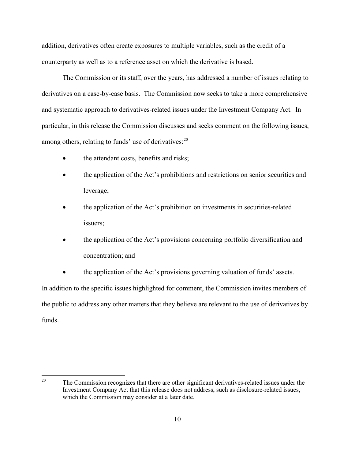addition, derivatives often create exposures to multiple variables, such as the credit of a counterparty as well as to a reference asset on which the derivative is based.

 The Commission or its staff, over the years, has addressed a number of issues relating to derivatives on a case-by-case basis. The Commission now seeks to take a more comprehensive and systematic approach to derivatives-related issues under the Investment Company Act. In particular, in this release the Commission discusses and seeks comment on the following issues, among others, relating to funds' use of derivatives:<sup>[20](#page-9-0)</sup>

- the attendant costs, benefits and risks;
- the application of the Act's prohibitions and restrictions on senior securities and leverage;
- the application of the Act's prohibition on investments in securities-related issuers;
- the application of the Act's provisions concerning portfolio diversification and concentration; and
- the application of the Act's provisions governing valuation of funds' assets.

In addition to the specific issues highlighted for comment, the Commission invites members of the public to address any other matters that they believe are relevant to the use of derivatives by funds.

<span id="page-9-0"></span> $20<sup>1</sup>$ The Commission recognizes that there are other significant derivatives-related issues under the Investment Company Act that this release does not address, such as disclosure-related issues, which the Commission may consider at a later date.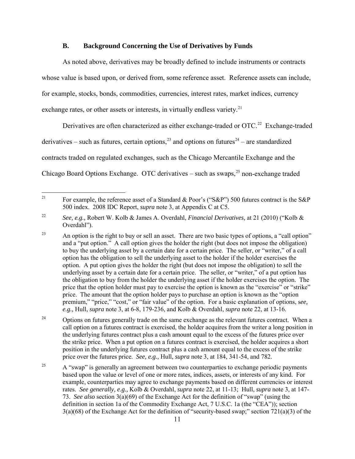#### <span id="page-10-0"></span>**B. Background Concerning the Use of Derivatives by Funds**

As noted above, derivatives may be broadly defined to include instruments or contracts whose value is based upon, or derived from, some reference asset. Reference assets can include, for example, stocks, bonds, commodities, currencies, interest rates, market indices, currency exchange rates, or other assets or interests, in virtually endless variety.<sup>[21](#page-10-1)</sup>

Derivatives are often characterized as either exchange-traded or  $\text{OTC}.^{22}$  Exchange-traded derivatives – such as futures, certain options,  $^{23}$  $^{23}$  $^{23}$  and options on futures<sup>24</sup> – are standardized contracts traded on regulated exchanges, such as the Chicago Mercantile Exchange and the Chicago Board Options Exchange. OTC derivatives  $-$  such as swaps,<sup>[25](#page-10-5)</sup> non-exchange traded

<span id="page-10-4"></span> $24$  Options on futures generally trade on the same exchange as the relevant futures contract. When a call option on a futures contract is exercised, the holder acquires from the writer a long position in the underlying futures contract plus a cash amount equal to the excess of the futures price over the strike price. When a put option on a futures contract is exercised, the holder acquires a short position in the underlying futures contract plus a cash amount equal to the excess of the strike price over the futures price. *See, e.g.,* Hull, *supra* note [3,](#page-3-4) at 184, 341-54, and 782.

<span id="page-10-6"></span><span id="page-10-1"></span> $21$ For example, the reference asset of a Standard & Poor's ("S&P") 500 futures contract is the S&P 500 index. 2008 IDC Report, *supra* note [3,](#page-3-4) at Appendix C at C5.

<span id="page-10-2"></span><sup>22</sup> *See, e.g.,* Robert W. Kolb & James A. Overdahl, *Financial Derivatives,* at 21 (2010) ("Kolb & Overdahl").

<span id="page-10-3"></span><sup>&</sup>lt;sup>23</sup> An option is the right to buy or sell an asset. There are two basic types of options, a "call option" and a "put option." A call option gives the holder the right (but does not impose the obligation) to buy the underlying asset by a certain date for a certain price. The seller, or "writer," of a call option has the obligation to sell the underlying asset to the holder if the holder exercises the option. A put option gives the holder the right (but does not impose the obligation) to sell the underlying asset by a certain date for a certain price. The seller, or "writer," of a put option has the obligation to buy from the holder the underlying asset if the holder exercises the option. The price that the option holder must pay to exercise the option is known as the "exercise" or "strike" price. The amount that the option holder pays to purchase an option is known as the "option premium," "price," "cost," or "fair value" of the option. For a basic explanation of options, s*ee, e.g.,* Hull, *supra* note [3,](#page-3-4) at 6-8, 179-236, and Kolb & Overdahl, *supra* note [22,](#page-10-0) at 13-16.

<span id="page-10-5"></span> $25$  A "swap" is generally an agreement between two counterparties to exchange periodic payments based upon the value or level of one or more rates, indices, assets, or interests of any kind. For example, counterparties may agree to exchange payments based on different currencies or interest rates. *See generally, e.g.,* Kolb & Overdahl, *supra* note [22,](#page-10-0) at 11-13; Hull, *supra* note [3,](#page-3-4) at 147- 73. *See also* section 3(a)(69) of the Exchange Act for the definition of "swap" (using the definition in section 1a of the Commodity Exchange Act, 7 U.S.C. 1a (the "CEA")); section 3(a)(68) of the Exchange Act for the definition of "security-based swap;" section 721(a)(3) of the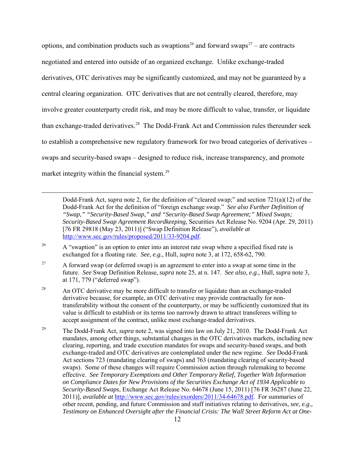options, and combination products such as swaptions<sup>[26](#page-11-0)</sup> and forward swaps<sup>27</sup> – are contracts negotiated and entered into outside of an organized exchange. Unlike exchange-traded derivatives, OTC derivatives may be significantly customized, and may not be guaranteed by a central clearing organization. OTC derivatives that are not centrally cleared, therefore, may involve greater counterparty credit risk, and may be more difficult to value, transfer, or liquidate than exchange-traded derivatives.<sup>[28](#page-11-2)</sup> The Dodd-Frank Act and Commission rules thereunder seek to establish a comprehensive new regulatory framework for two broad categories of derivatives – swaps and security-based swaps – designed to reduce risk, increase transparency, and promote market integrity within the financial system.<sup>[29](#page-11-3)</sup>

Dodd-Frank Act, *supra* note [2,](#page-3-0) for the definition of "cleared swap;" and section 721(a)(12) of the Dodd-Frank Act for the definition of "foreign exchange swap." *See also Further Definition of "Swap," "Security-Based Swap," and "Security-Based Swap Agreement;" Mixed Swaps; Security-Based Swap Agreement Recordkeeping*, Securities Act Release No. 9204 (Apr. 29, 2011) [*7*6 FR 29818 (May 23, 2011)] ("Swap Definition Release"), *available at* [http://www.sec.gov/rules/proposed/2011/33-9204.pdf.](http://www.sec.gov/rules/proposed/2011/33-9204.pdf)

<span id="page-11-0"></span><sup>26</sup> A "swaption" is an option to enter into an interest rate swap where a specified fixed rate is exchanged for a floating rate. *See, e.g.,* Hull, *supra* note [3,](#page-3-4) at 172, 658-62, 790.

- <span id="page-11-1"></span><sup>27</sup> A forward swap (or deferred swap) is an agreement to enter into a swap at some time in the future. *See* Swap Definition Release, *supra* note [25,](#page-10-6) at n. 147. *See also, e.g.,* Hull, *supra* note [3,](#page-3-4) at 171, 779 ("deferred swap").
- <span id="page-11-2"></span> $28$  An OTC derivative may be more difficult to transfer or liquidate than an exchange-traded derivative because, for example, an OTC derivative may provide contractually for nontransferability without the consent of the counterparty, or may be sufficiently customized that its value is difficult to establish or its terms too narrowly drawn to attract transferees willing to accept assignment of the contract, unlike most exchange-traded derivatives.
- <span id="page-11-3"></span><sup>29</sup> The Dodd-Frank Act, *supra* note [2,](#page-3-0) was signed into law on July 21, 2010. The Dodd-Frank Act mandates, among other things, substantial changes in the OTC derivatives markets, including new clearing, reporting, and trade execution mandates for swaps and security-based swaps, and both exchange-traded and OTC derivatives are contemplated under the new regime. *See* Dodd-Frank Act sections 723 (mandating clearing of swaps) and 763 (mandating clearing of security-based swaps). Some of these changes will require Commission action through rulemaking to become effective. *See Temporary Exemptions and Other Temporary Relief, Together With Information on Compliance Dates for New Provisions of the Securities Exchange Act of 1934 Applicable to Security-Based Swaps*, Exchange Act Release No. 64678 (June 15, 2011) [76 FR 36287 (June 22, 2011)], *available at* [http://www.sec.gov/rules/exorders/2011/34-64678.pdf.](http://www.sec.gov/rules/exorders/2011/34-64678.pdf) For summaries of other recent, pending, and future Commission and staff initiatives relating to derivatives, *see, e.g., Testimony on Enhanced Oversight after the Financial Crisis: The Wall Street Reform Act at One-*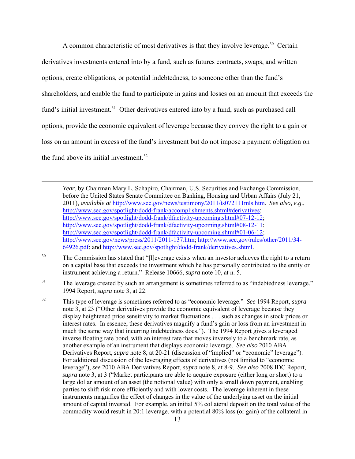A common characteristic of most derivatives is that they involve leverage.<sup>[30](#page-12-0)</sup> Certain derivatives investments entered into by a fund, such as futures contracts, swaps, and written options, create obligations, or potential indebtedness, to someone other than the fund's shareholders, and enable the fund to participate in gains and losses on an amount that exceeds the fund's initial investment.<sup>31</sup> Other derivatives entered into by a fund, such as purchased call options, provide the economic equivalent of leverage because they convey the right to a gain or loss on an amount in excess of the fund's investment but do not impose a payment obligation on the fund above its initial investment.<sup>[32](#page-12-2)</sup>

*Year*, by Chairman Mary L. Schapiro, Chairman, U.S. Securities and Exchange Commission, before the United States Senate Committee on Banking, Housing and Urban Affairs (July 21, 2011), *available at* [http://www.sec.gov/news/testimony/2011/ts072111mls.htm.](http://www.sec.gov/news/testimony/2011/ts072111mls.htm) *See also, e.g*., [http://www.sec.gov/spotlight/dodd-frank/accomplishments.shtml#derivatives;](http://www.sec.gov/spotlight/dodd-frank/accomplishments.shtml#derivatives) [http://www.sec.gov/spotlight/dodd-frank/dfactivity-upcoming.shtml#07-12-12;](http://www.sec.gov/spotlight/dodd-frank/dfactivity-upcoming.shtml#07-12-12) [http://www.sec.gov/spotlight/dodd-frank/dfactivity-upcoming.shtml#08-12-11;](http://www.sec.gov/spotlight/dodd-frank/dfactivity-upcoming.shtml#08-12-11) [http://www.sec.gov/spotlight/dodd-frank/dfactivity-upcoming.shtml#01-06-12;](http://www.sec.gov/spotlight/dodd-frank/dfactivity-upcoming.shtml#01-06-12) [http://www.sec.gov/news/press/2011/2011-137.htm;](http://www.sec.gov/news/press/2011/2011-137.htm) [http://www.sec.gov/rules/other/2011/34-](http://www.sec.gov/rules/other/2011/34-64926.pdf) [64926.pdf;](http://www.sec.gov/rules/other/2011/34-64926.pdf) and [http://www.sec.gov/spotlight/dodd-frank/derivatives.shtml.](http://www.sec.gov/spotlight/dodd-frank/derivatives.shtml)

<span id="page-12-0"></span><sup>&</sup>lt;sup>30</sup> The Commission has stated that "[l]everage exists when an investor achieves the right to a return on a capital base that exceeds the investment which he has personally contributed to the entity or instrument achieving a return." Release 10666, *supra* note [10,](#page-6-4) at n. 5.

<span id="page-12-1"></span><sup>&</sup>lt;sup>31</sup> The leverage created by such an arrangement is sometimes referred to as "indebtedness leverage." 1994 Report, *supra* not[e 3,](#page-3-4) at 22.

<span id="page-12-2"></span><sup>32</sup> This type of leverage is sometimes referred to as "economic leverage." *See* 1994 Report, *supra* not[e 3,](#page-3-4) at 23 ("Other derivatives provide the economic equivalent of leverage because they display heightened price sensitivity to market fluctuations . . . such as changes in stock prices or interest rates. In essence, these derivatives magnify a fund's gain or loss from an investment in much the same way that incurring indebtedness does."). The 1994 Report gives a leveraged inverse floating rate bond, with an interest rate that moves inversely to a benchmark rate, as another example of an instrument that displays economic leverage. *See also* 2010 ABA Derivatives Report, *supra* note [8,](#page-5-1) at 20-21 (discussion of "implied" or "economic" leverage"). For additional discussion of the leveraging effects of derivatives (not limited to "economic leverage"), *see* 2010 ABA Derivatives Report, *supra* note [8,](#page-5-1) at 8-9. *See also* 2008 IDC Report, *supra* note [3,](#page-3-4) at 3 ("Market participants are able to acquire exposure (either long or short) to a large dollar amount of an asset (the notional value) with only a small down payment, enabling parties to shift risk more efficiently and with lower costs. The leverage inherent in these instruments magnifies the effect of changes in the value of the underlying asset on the initial amount of capital invested. For example, an initial 5% collateral deposit on the total value of the commodity would result in 20:1 leverage, with a potential 80% loss (or gain) of the collateral in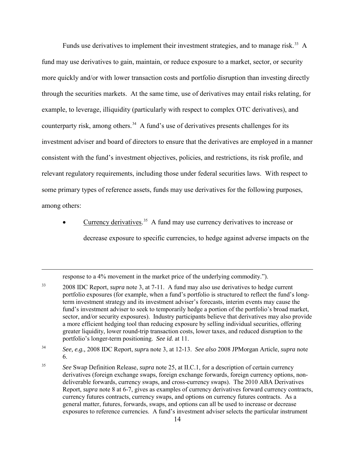Funds use derivatives to implement their investment strategies, and to manage risk.<sup>[33](#page-13-0)</sup> A fund may use derivatives to gain, maintain, or reduce exposure to a market, sector, or security more quickly and/or with lower transaction costs and portfolio disruption than investing directly through the securities markets. At the same time, use of derivatives may entail risks relating, for example, to leverage, illiquidity (particularly with respect to complex OTC derivatives), and counterparty risk, among others.<sup>[34](#page-13-1)</sup> A fund's use of derivatives presents challenges for its investment adviser and board of directors to ensure that the derivatives are employed in a manner consistent with the fund's investment objectives, policies, and restrictions, its risk profile, and relevant regulatory requirements, including those under federal securities laws. With respect to some primary types of reference assets, funds may use derivatives for the following purposes, among others:

• Currency derivatives.<sup>[35](#page-13-2)</sup> A fund may use currency derivatives to increase or decrease exposure to specific currencies, to hedge against adverse impacts on the

response to a 4% movement in the market price of the underlying commodity.").

<span id="page-13-0"></span><sup>&</sup>lt;sup>33</sup> 2008 IDC Report, *supra* note [3,](#page-3-4) at 7-11. A fund may also use derivatives to hedge current portfolio exposures (for example, when a fund's portfolio is structured to reflect the fund's longterm investment strategy and its investment adviser's forecasts, interim events may cause the fund's investment adviser to seek to temporarily hedge a portion of the portfolio's broad market, sector, and/or security exposures). Industry participants believe that derivatives may also provide a more efficient hedging tool than reducing exposure by selling individual securities, offering greater liquidity, lower round-trip transaction costs, lower taxes, and reduced disruption to the portfolio's longer-term positioning. *See id.* at 11.

<span id="page-13-1"></span><sup>34</sup>*See, e.g.,* 2008 IDC Report, *supr*a note [3,](#page-3-4) at 12-13. *See also* 2008 JPMorgan Article, *supra* note [6.](#page-4-4)

<span id="page-13-2"></span><sup>35</sup>*See* Swap Definition Release, *supra* note [25,](#page-10-6) at II.C.1, for a description of certain currency derivatives (foreign exchange swaps, foreign exchange forwards, foreign currency options, nondeliverable forwards, currency swaps, and cross-currency swaps). The 2010 ABA Derivatives Report, *supra* note [8](#page-5-1) at 6-7, gives as examples of currency derivatives forward currency contracts, currency futures contracts, currency swaps, and options on currency futures contracts. As a general matter, futures, forwards, swaps, and options can all be used to increase or decrease exposures to reference currencies. A fund's investment adviser selects the particular instrument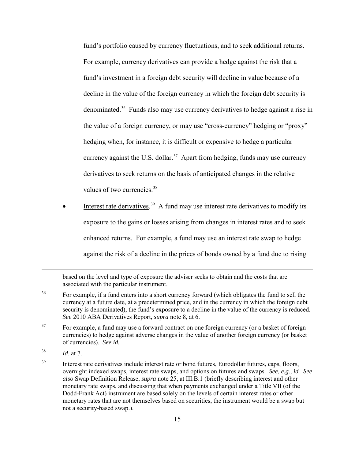fund's portfolio caused by currency fluctuations, and to seek additional returns. For example, currency derivatives can provide a hedge against the risk that a fund's investment in a foreign debt security will decline in value because of a decline in the value of the foreign currency in which the foreign debt security is denominated.[36](#page-14-0) Funds also may use currency derivatives to hedge against a rise in the value of a foreign currency, or may use "cross-currency" hedging or "proxy" hedging when, for instance, it is difficult or expensive to hedge a particular currency against the U.S. dollar.<sup>[37](#page-14-1)</sup> Apart from hedging, funds may use currency derivatives to seek returns on the basis of anticipated changes in the relative values of two currencies.<sup>[38](#page-14-2)</sup>

 $\bullet$  Interest rate derivatives.<sup>[39](#page-14-3)</sup> A fund may use interest rate derivatives to modify its exposure to the gains or losses arising from changes in interest rates and to seek enhanced returns. For example, a fund may use an interest rate swap to hedge against the risk of a decline in the prices of bonds owned by a fund due to rising

based on the level and type of exposure the adviser seeks to obtain and the costs that are associated with the particular instrument.

- <span id="page-14-0"></span><sup>36</sup> For example, if a fund enters into a short currency forward (which obligates the fund to sell the currency at a future date, at a predetermined price, and in the currency in which the foreign debt security is denominated), the fund's exposure to a decline in the value of the currency is reduced. *See* 2010 ABA Derivatives Report, *supra* note [8,](#page-5-1) at 6.
- <span id="page-14-1"></span><sup>37</sup> For example, a fund may use a forward contract on one foreign currency (or a basket of foreign currencies) to hedge against adverse changes in the value of another foreign currency (or basket of currencies). *See id.*
- <span id="page-14-2"></span><sup>38</sup>*Id*. at 7.

 $\overline{a}$ 

<span id="page-14-3"></span><sup>39</sup> Interest rate derivatives include interest rate or bond futures, Eurodollar futures, caps, floors, overnight indexed swaps, interest rate swaps, and options on futures and swaps. *See, e.g., id. See also* Swap Definition Release, *supra* note [25,](#page-10-6) at III.B.1 (briefly describing interest and other monetary rate swaps, and discussing that when payments exchanged under a Title VII (of the Dodd-Frank Act) instrument are based solely on the levels of certain interest rates or other monetary rates that are not themselves based on securities, the instrument would be a swap but not a security-based swap.).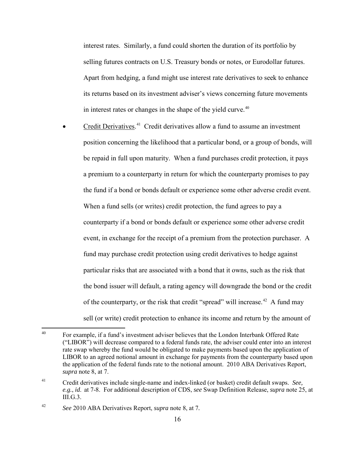interest rates. Similarly, a fund could shorten the duration of its portfolio by selling futures contracts on U.S. Treasury bonds or notes, or Eurodollar futures. Apart from hedging, a fund might use interest rate derivatives to seek to enhance its returns based on its investment adviser's views concerning future movements in interest rates or changes in the shape of the yield curve.<sup>[40](#page-15-0)</sup>

• Credit Derivatives.<sup>41</sup> Credit derivatives allow a fund to assume an investment position concerning the likelihood that a particular bond, or a group of bonds, will be repaid in full upon maturity. When a fund purchases credit protection, it pays a premium to a counterparty in return for which the counterparty promises to pay the fund if a bond or bonds default or experience some other adverse credit event. When a fund sells (or writes) credit protection, the fund agrees to pay a counterparty if a bond or bonds default or experience some other adverse credit event, in exchange for the receipt of a premium from the protection purchaser. A fund may purchase credit protection using credit derivatives to hedge against particular risks that are associated with a bond that it owns, such as the risk that the bond issuer will default, a rating agency will downgrade the bond or the credit of the counterparty, or the risk that credit "spread" will increase.<sup>[42](#page-15-2)</sup> A fund may sell (or write) credit protection to enhance its income and return by the amount of

<span id="page-15-0"></span> $40$ 40 For example, if a fund's investment adviser believes that the London Interbank Offered Rate ("LIBOR") will decrease compared to a federal funds rate, the adviser could enter into an interest rate swap whereby the fund would be obligated to make payments based upon the application of LIBOR to an agreed notional amount in exchange for payments from the counterparty based upon the application of the federal funds rate to the notional amount. 2010 ABA Derivatives Report, *supra* note [8,](#page-5-1) at 7.

<span id="page-15-1"></span><sup>41</sup> Credit derivatives include single-name and index-linked (or basket) credit default swaps. *See, e.g.*, *id*. at 7-8. For additional description of CDS, *see* Swap Definition Release, *supra* note [25,](#page-10-6) at III.G.3.

<span id="page-15-2"></span><sup>42</sup>*See* 2010 ABA Derivatives Report, *supra* note [8,](#page-5-1) at 7*.*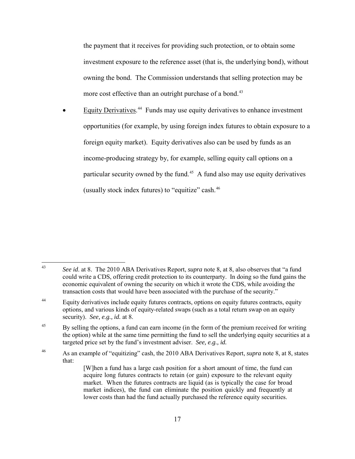the payment that it receives for providing such protection, or to obtain some investment exposure to the reference asset (that is, the underlying bond), without owning the bond. The Commission understands that selling protection may be more cost effective than an outright purchase of a bond.<sup>[43](#page-16-0)</sup>

• Equity Derivatives.<sup>44</sup> Funds may use equity derivatives to enhance investment opportunities (for example, by using foreign index futures to obtain exposure to a foreign equity market). Equity derivatives also can be used by funds as an income-producing strategy by, for example, selling equity call options on a particular security owned by the fund.<sup>[45](#page-16-2)</sup> A fund also may use equity derivatives (usually stock index futures) to "equitize" cash.<sup>[46](#page-16-3)</sup>

<span id="page-16-3"></span>46 As an example of "equitizing" cash, the 2010 ABA Derivatives Report, *supra* note [8,](#page-5-1) at 8, states that:

<span id="page-16-0"></span> $43$ 43 *See id*. at 8. The 2010 ABA Derivatives Report, *supra* note [8,](#page-5-1) at 8, also observes that "a fund could write a CDS, offering credit protection to its counterparty. In doing so the fund gains the economic equivalent of owning the security on which it wrote the CDS, while avoiding the transaction costs that would have been associated with the purchase of the security."

<span id="page-16-1"></span><sup>&</sup>lt;sup>44</sup> Equity derivatives include equity futures contracts, options on equity futures contracts, equity options, and various kinds of equity-related swaps (such as a total return swap on an equity security). *See, e.g., id.* at 8.

<span id="page-16-2"></span><sup>&</sup>lt;sup>45</sup> By selling the options, a fund can earn income (in the form of the premium received for writing the option) while at the same time permitting the fund to sell the underlying equity securities at a targeted price set by the fund's investment adviser. *See, e.g., id.*

<sup>[</sup>W]hen a fund has a large cash position for a short amount of time, the fund can acquire long futures contracts to retain (or gain) exposure to the relevant equity market. When the futures contracts are liquid (as is typically the case for broad market indices), the fund can eliminate the position quickly and frequently at lower costs than had the fund actually purchased the reference equity securities.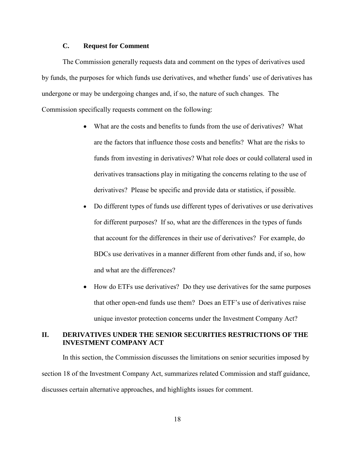### **C. Request for Comment**

The Commission generally requests data and comment on the types of derivatives used by funds, the purposes for which funds use derivatives, and whether funds' use of derivatives has undergone or may be undergoing changes and, if so, the nature of such changes. The Commission specifically requests comment on the following:

- What are the costs and benefits to funds from the use of derivatives? What are the factors that influence those costs and benefits? What are the risks to funds from investing in derivatives? What role does or could collateral used in derivatives transactions play in mitigating the concerns relating to the use of derivatives? Please be specific and provide data or statistics, if possible.
- Do different types of funds use different types of derivatives or use derivatives for different purposes? If so, what are the differences in the types of funds that account for the differences in their use of derivatives? For example, do BDCs use derivatives in a manner different from other funds and, if so, how and what are the differences?
- How do ETFs use derivatives? Do they use derivatives for the same purposes that other open-end funds use them? Does an ETF's use of derivatives raise unique investor protection concerns under the Investment Company Act?

# **II. DERIVATIVES UNDER THE SENIOR SECURITIES RESTRICTIONS OF THE INVESTMENT COMPANY ACT**

In this section, the Commission discusses the limitations on senior securities imposed by section 18 of the Investment Company Act, summarizes related Commission and staff guidance, discusses certain alternative approaches, and highlights issues for comment.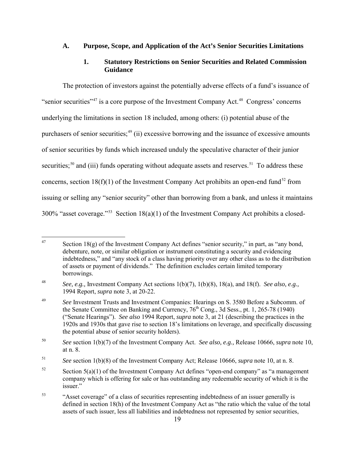### **A. Purpose, Scope, and Application of the Act's Senior Securities Limitations**

## <span id="page-18-7"></span>**1. Statutory Restrictions on Senior Securities and Related Commission Guidance**

The protection of investors against the potentially adverse effects of a fund's issuance of "senior securities"<sup>[47](#page-18-0)</sup> is a core purpose of the Investment Company Act.<sup>[48](#page-18-1)</sup> Congress' concerns underlying the limitations in section 18 included, among others: (i) potential abuse of the purchasers of senior securities;<sup>[49](#page-18-2)</sup> (ii) excessive borrowing and the issuance of excessive amounts of senior securities by funds which increased unduly the speculative character of their junior securities;<sup>[50](#page-18-3)</sup> and (iii) funds operating without adequate assets and reserves.<sup>51</sup> To address these concerns, section 18(f)(1) of the Investment Company Act prohibits an open-end fund<sup>[52](#page-18-5)</sup> from issuing or selling any "senior security" other than borrowing from a bank, and unless it maintains 300% "asset coverage."<sup>[53](#page-18-6)</sup> Section 18(a)(1) of the Investment Company Act prohibits a closed-

<span id="page-18-0"></span><sup>47</sup> Section  $18(g)$  of the Investment Company Act defines "senior security," in part, as "any bond, debenture, note, or similar obligation or instrument constituting a security and evidencing indebtedness," and "any stock of a class having priority over any other class as to the distribution of assets or payment of dividends." The definition excludes certain limited temporary borrowings.

<span id="page-18-1"></span><sup>48</sup> *See, e.g.,* Investment Company Act sections 1(b)(7), 1(b)(8), 18(a), and 18(f). *See also, e.g.,* 1994 Report, *supra* not[e 3,](#page-3-4) at 20-22.

<span id="page-18-2"></span><sup>&</sup>lt;sup>49</sup> *See* Investment Trusts and Investment Companies: Hearings on S. 3580 Before a Subcomm. of the Senate Committee on Banking and Currency,  $76<sup>th</sup>$  Cong., 3d Sess., pt. 1, 265-78 (1940) ("Senate Hearings"). *See also* 1994 Report, *supra* note [3,](#page-3-4) at 21 (describing the practices in the 1920s and 1930s that gave rise to section 18's limitations on leverage, and specifically discussing the potential abuse of senior security holders).

<span id="page-18-3"></span><sup>50</sup> *See* section 1(b)(7) of the Investment Company Act. *See also, e.g.,* Release 10666, *supra* note [10,](#page-6-4) at n. 8.

<span id="page-18-4"></span><sup>51</sup>*See* section 1(b)(8) of the Investment Company Act; Release 10666, *supra* note [10,](#page-6-4) at n. 8.

<span id="page-18-5"></span> $52$  Section  $5(a)(1)$  of the Investment Company Act defines "open-end company" as "a management company which is offering for sale or has outstanding any redeemable security of which it is the issuer."

<span id="page-18-6"></span><sup>53 &</sup>quot;Asset coverage" of a class of securities representing indebtedness of an issuer generally is defined in section 18(h) of the Investment Company Act as "the ratio which the value of the total assets of such issuer, less all liabilities and indebtedness not represented by senior securities,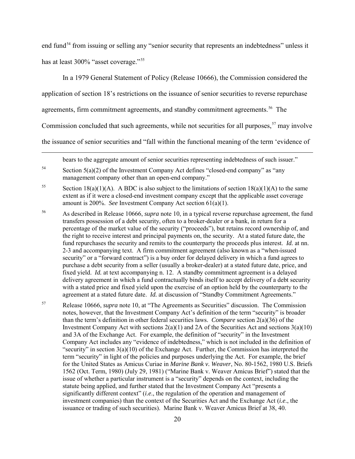end fund<sup>[54](#page-19-0)</sup> from issuing or selling any "senior security that represents an indebtedness" unless it has at least 300% "asset coverage."<sup>[55](#page-19-1)</sup>

In a 1979 General Statement of Policy (Release 10666), the Commission considered the

application of section 18's restrictions on the issuance of senior securities to reverse repurchase

agreements, firm commitment agreements, and standby commitment agreements. [56](#page-19-2) The

Commission concluded that such agreements, while not securities for all purposes,  $57$  may involve

the issuance of senior securities and "fall within the functional meaning of the term 'evidence of

<span id="page-19-4"></span>bears to the aggregate amount of senior securities representing indebtedness of such issuer."

- <span id="page-19-2"></span>56 As described in Release 10666, *supra* not[e 10,](#page-6-4) in a typical reverse repurchase agreement, the fund transfers possession of a debt security, often to a broker-dealer or a bank, in return for a percentage of the market value of the security ("proceeds"), but retains record ownership of, and the right to receive interest and principal payments on, the security. At a stated future date, the fund repurchases the security and remits to the counterparty the proceeds plus interest. *Id.* at nn. 2-3 and accompanying text. A firm commitment agreement (also known as a "when-issued security" or a "forward contract") is a buy order for delayed delivery in which a fund agrees to purchase a debt security from a seller (usually a broker-dealer) at a stated future date, price, and fixed yield. *Id.* at text accompanying n. 12. A standby commitment agreement is a delayed delivery agreement in which a fund contractually binds itself to accept delivery of a debt security with a stated price and fixed yield upon the exercise of an option held by the counterparty to the agreement at a stated future date. *Id.* at discussion of "Standby Commitment Agreements."
- <span id="page-19-3"></span>57 Release 10666, *supra* note [10,](#page-6-4) at "The Agreements as Securities" discussion. The Commission notes, however, that the Investment Company Act's definition of the term "security" is broader than the term's definition in other federal securities laws. *Compare* section 2(a)(36) of the Investment Company Act with sections  $2(a)(1)$  and  $2A$  of the Securities Act and sections  $3(a)(10)$ and 3A of the Exchange Act. For example, the definition of "security" in the Investment Company Act includes any "evidence of indebtedness," which is not included in the definition of "security" in section  $3(a)(10)$  of the Exchange Act. Further, the Commission has interpreted the term "security" in light of the policies and purposes underlying the Act. For example, the brief for the United States as Amicus Curiae in *Marine Bank v. Weaver*, No. 80-1562, 1980 U.S. Briefs 1562 (Oct. Term, 1980) (July 29, 1981) ("Marine Bank v. Weaver Amicus Brief") stated that the issue of whether a particular instrument is a "security" depends on the context, including the statute being applied, and further stated that the Investment Company Act "presents a significantly different context" (*i.e*., the regulation of the operation and management of investment companies) than the context of the Securities Act and the Exchange Act (*i.e*., the issuance or trading of such securities). Marine Bank v. Weaver Amicus Brief at 38, 40.

<span id="page-19-0"></span> $54$  Section  $5(a)(2)$  of the Investment Company Act defines "closed-end company" as "any management company other than an open-end company."

<span id="page-19-1"></span><sup>&</sup>lt;sup>55</sup> Section 18(a)(1)(A). A BDC is also subject to the limitations of section 18(a)(1)(A) to the same extent as if it were a closed-end investment company except that the applicable asset coverage amount is 200%. *See* Investment Company Act section 61(a)(1).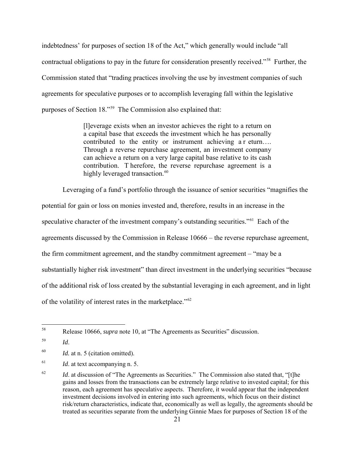indebtedness' for purposes of section 18 of the Act," which generally would include "all contractual obligations to pay in the future for consideration presently received."[58](#page-20-0) Further, the Commission stated that "trading practices involving the use by investment companies of such agreements for speculative purposes or to accomplish leveraging fall within the legislative purposes of Section 18."[59](#page-20-1) The Commission also explained that:

> [l]everage exists when an investor achieves the right to a return on a capital base that exceeds the investment which he has personally contributed to the entity or instrument achieving a r eturn.... Through a reverse repurchase agreement, an investment company can achieve a return on a very large capital base relative to its cash contribution. T herefore, the reverse repurchase agreement is a highly leveraged transaction.<sup>[60](#page-20-2)</sup>

Leveraging of a fund's portfolio through the issuance of senior securities "magnifies the

potential for gain or loss on monies invested and, therefore, results in an increase in the speculative character of the investment company's outstanding securities."<sup>[61](#page-20-3)</sup> Each of the agreements discussed by the Commission in Release 10666 – the reverse repurchase agreement, the firm commitment agreement, and the standby commitment agreement – "may be a substantially higher risk investment" than direct investment in the underlying securities "because of the additional risk of loss created by the substantial leveraging in each agreement, and in light of the volatility of interest rates in the marketplace."[62](#page-20-4)

<span id="page-20-0"></span><sup>58</sup> 58 Release 10666, *supra* note [10,](#page-6-4) at "The Agreements as Securities" discussion.

<span id="page-20-1"></span><sup>59</sup> *Id*.

<span id="page-20-2"></span><sup>&</sup>lt;sup>60</sup>*Id.* at n. 5 (citation omitted).

<span id="page-20-3"></span><sup>&</sup>lt;sup>61</sup> *Id.* at text accompanying n. 5.

<span id="page-20-4"></span><sup>&</sup>lt;sup>62</sup> *Id.* at discussion of "The Agreements as Securities." The Commission also stated that, "[t]he gains and losses from the transactions can be extremely large relative to invested capital; for this reason, each agreement has speculative aspects. Therefore, it would appear that the independent investment decisions involved in entering into such agreements, which focus on their distinct risk/return characteristics, indicate that, economically as well as legally, the agreements should be treated as securities separate from the underlying Ginnie Maes for purposes of Section 18 of the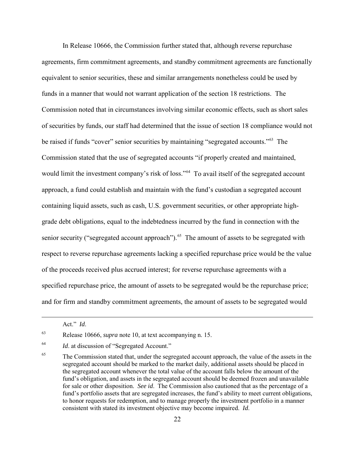In Release 10666, the Commission further stated that, although reverse repurchase agreements, firm commitment agreements, and standby commitment agreements are functionally equivalent to senior securities, these and similar arrangements nonetheless could be used by funds in a manner that would not warrant application of the section 18 restrictions. The Commission noted that in circumstances involving similar economic effects, such as short sales of securities by funds, our staff had determined that the issue of section 18 compliance would not be raised if funds "cover" senior securities by maintaining "segregated accounts."[63](#page-21-0) The Commission stated that the use of segregated accounts "if properly created and maintained, would limit the investment company's risk of loss."<sup>[64](#page-21-1)</sup> To avail itself of the segregated account approach, a fund could establish and maintain with the fund's custodian a segregated account containing liquid assets, such as cash, U.S. government securities, or other appropriate highgrade debt obligations, equal to the indebtedness incurred by the fund in connection with the senior security ("segregated account approach").<sup>[65](#page-21-2)</sup> The amount of assets to be segregated with respect to reverse repurchase agreements lacking a specified repurchase price would be the value of the proceeds received plus accrued interest; for reverse repurchase agreements with a specified repurchase price, the amount of assets to be segregated would be the repurchase price; and for firm and standby commitment agreements, the amount of assets to be segregated would

Act." *Id*.

<span id="page-21-0"></span><sup>63</sup> Release 10666, *supra* note [10,](#page-6-4) at text accompanying n. 15.

<span id="page-21-1"></span><sup>64</sup> *Id*. at discussion of "Segregated Account."

<span id="page-21-2"></span><sup>&</sup>lt;sup>65</sup> The Commission stated that, under the segregated account approach, the value of the assets in the segregated account should be marked to the market daily, additional assets should be placed in the segregated account whenever the total value of the account falls below the amount of the fund's obligation, and assets in the segregated account should be deemed frozen and unavailable for sale or other disposition. *See id*. The Commission also cautioned that as the percentage of a fund's portfolio assets that are segregated increases, the fund's ability to meet current obligations, to honor requests for redemption, and to manage properly the investment portfolio in a manner consistent with stated its investment objective may become impaired. *Id*.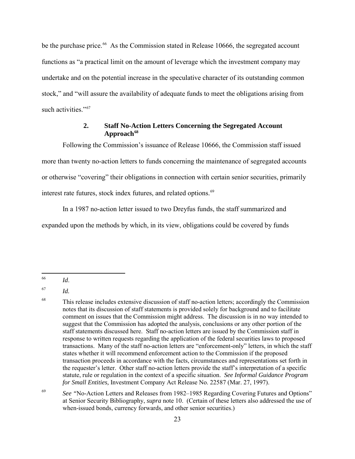be the purchase price.<sup>[66](#page-22-0)</sup> As the Commission stated in Release 10666, the segregated account functions as "a practical limit on the amount of leverage which the investment company may undertake and on the potential increase in the speculative character of its outstanding common stock," and "will assure the availability of adequate funds to meet the obligations arising from such activities."<sup>[67](#page-22-1)</sup>

## **2. Staff No-Action Letters Concerning the Segregated Account Approach [68](#page-22-2)**

Following the Commission's issuance of Release 10666, the Commission staff issued more than twenty no-action letters to funds concerning the maintenance of segregated accounts or otherwise "covering" their obligations in connection with certain senior securities, primarily interest rate futures, stock index futures, and related options.<sup>[69](#page-22-3)</sup>

In a 1987 no-action letter issued to two Dreyfus funds, the staff summarized and expanded upon the methods by which, in its view, obligations could be covered by funds

<span id="page-22-0"></span><sup>66</sup>  $Id.$ 

<span id="page-22-1"></span><sup>67</sup> *Id.*

<span id="page-22-2"></span><sup>&</sup>lt;sup>68</sup> This release includes extensive discussion of staff no-action letters; accordingly the Commission notes that its discussion of staff statements is provided solely for background and to facilitate comment on issues that the Commission might address. The discussion is in no way intended to suggest that the Commission has adopted the analysis, conclusions or any other portion of the staff statements discussed here. Staff no-action letters are issued by the Commission staff in response to written requests regarding the application of the federal securities laws to proposed transactions. Many of the staff no-action letters are "enforcement-only" letters, in which the staff states whether it will recommend enforcement action to the Commission if the proposed transaction proceeds in accordance with the facts, circumstances and representations set forth in the requester's letter. Other staff no-action letters provide the staff's interpretation of a specific statute, rule or regulation in the context of a specific situation. *See Informal Guidance Program for Small Entities,* Investment Company Act Release No. 22587 (Mar. 27, 1997).

<span id="page-22-3"></span><sup>&</sup>lt;sup>69</sup> See "No-Action Letters and Releases from 1982–1985 Regarding Covering Futures and Options" at Senior Security Bibliography, *supra* note [10.](#page-6-4) (Certain of these letters also addressed the use of when-issued bonds, currency forwards, and other senior securities.)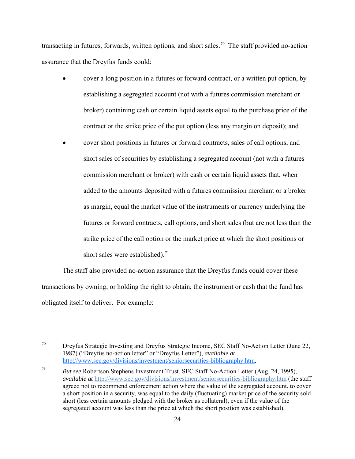transacting in futures, forwards, written options, and short sales.<sup>[70](#page-23-0)</sup> The staff provided no-action assurance that the Dreyfus funds could:

- cover a long position in a futures or forward contract, or a written put option, by establishing a segregated account (not with a futures commission merchant or broker) containing cash or certain liquid assets equal to the purchase price of the contract or the strike price of the put option (less any margin on deposit); and
- cover short positions in futures or forward contracts, sales of call options, and short sales of securities by establishing a segregated account (not with a futures commission merchant or broker) with cash or certain liquid assets that, when added to the amounts deposited with a futures commission merchant or a broker as margin, equal the market value of the instruments or currency underlying the futures or forward contracts, call options, and short sales (but are not less than the strike price of the call option or the market price at which the short positions or short sales were established).<sup>[71](#page-23-1)</sup>

The staff also provided no-action assurance that the Dreyfus funds could cover these transactions by owning, or holding the right to obtain, the instrument or cash that the fund has obligated itself to deliver. For example:

<span id="page-23-0"></span><sup>70</sup> 70 Dreyfus Strategic Investing and Dreyfus Strategic Income, SEC Staff No-Action Letter (June 22, 1987) ("Dreyfus no-action letter" or "Dreyfus Letter"), *available at* [http://www.sec.gov/divisions/investment/seniorsecurities-bibliography.htm.](http://www.sec.gov/divisions/investment/seniorsecurities-bibliography.htm)

<span id="page-23-1"></span><sup>71</sup> *But see* Robertson Stephens Investment Trust, SEC Staff No-Action Letter (Aug. 24, 1995), *available at* <http://www.sec.gov/divisions/investment/seniorsecurities-bibliography.htm> (the staff agreed not to recommend enforcement action where the value of the segregated account, to cover a short position in a security, was equal to the daily (fluctuating) market price of the security sold short (less certain amounts pledged with the broker as collateral), even if the value of the segregated account was less than the price at which the short position was established).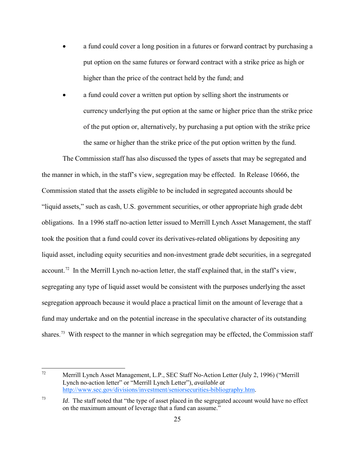- a fund could cover a long position in a futures or forward contract by purchasing a put option on the same futures or forward contract with a strike price as high or higher than the price of the contract held by the fund; and
- a fund could cover a written put option by selling short the instruments or currency underlying the put option at the same or higher price than the strike price of the put option or, alternatively, by purchasing a put option with the strike price the same or higher than the strike price of the put option written by the fund.

The Commission staff has also discussed the types of assets that may be segregated and the manner in which, in the staff's view, segregation may be effected. In Release 10666, the Commission stated that the assets eligible to be included in segregated accounts should be "liquid assets," such as cash, U.S. government securities, or other appropriate high grade debt obligations. In a 1996 staff no-action letter issued to Merrill Lynch Asset Management, the staff took the position that a fund could cover its derivatives-related obligations by depositing any liquid asset, including equity securities and non-investment grade debt securities, in a segregated account.<sup>72</sup> In the Merrill Lynch no-action letter, the staff explained that, in the staff's view, segregating any type of liquid asset would be consistent with the purposes underlying the asset segregation approach because it would place a practical limit on the amount of leverage that a fund may undertake and on the potential increase in the speculative character of its outstanding shares.<sup>[73](#page-24-1)</sup> With respect to the manner in which segregation may be effected, the Commission staff

<span id="page-24-0"></span> $72$ 72 Merrill Lynch Asset Management, L.P., SEC Staff No-Action Letter (July 2, 1996) ("Merrill Lynch no-action letter" or "Merrill Lynch Letter"), *available at* [http://www.sec.gov/divisions/investment/seniorsecurities-bibliography.htm.](http://www.sec.gov/divisions/investment/seniorsecurities-bibliography.htm)

<span id="page-24-1"></span><sup>73</sup> *Id*. The staff noted that "the type of asset placed in the segregated account would have no effect on the maximum amount of leverage that a fund can assume."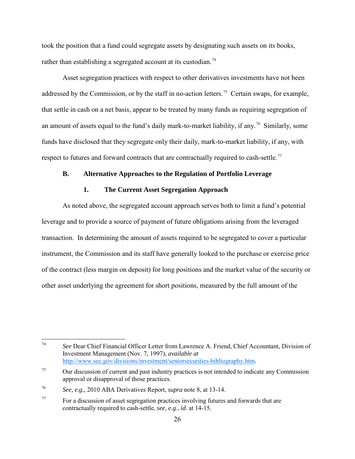took the position that a fund could segregate assets by designating such assets on its books, rather than establishing a segregated account at its custodian.<sup>[74](#page-25-0)</sup>

Asset segregation practices with respect to other derivatives investments have not been addressed by the Commission, or by the staff in no-action letters.<sup>[75](#page-25-1)</sup> Certain swaps, for example, that settle in cash on a net basis, appear to be treated by many funds as requiring segregation of an amount of assets equal to the fund's daily mark-to-market liability, if any.<sup>76</sup> Similarly, some funds have disclosed that they segregate only their daily, mark-to-market liability, if any, with respect to futures and forward contracts that are contractually required to cash-settle.<sup>[77](#page-25-3)</sup>

# **B. Alternative Approaches to the Regulation of Portfolio Leverage**

## **1. The Current Asset Segregation Approach**

As noted above, the segregated account approach serves both to limit a fund's potential leverage and to provide a source of payment of future obligations arising from the leveraged transaction. In determining the amount of assets required to be segregated to cover a particular instrument, the Commission and its staff have generally looked to the purchase or exercise price of the contract (less margin on deposit) for long positions and the market value of the security or other asset underlying the agreement for short positions, measured by the full amount of the

<span id="page-25-0"></span> $74\,$ <sup>74</sup>*See* Dear Chief Financial Officer Letter from Lawrence A. Friend, Chief Accountant, Division of Investment Management (Nov. 7, 1997), *available at* [http://www.sec.gov/divisions/investment/seniorsecurities-bibliography.htm.](http://www.sec.gov/divisions/investment/seniorsecurities-bibliography.htm)

<span id="page-25-1"></span><sup>&</sup>lt;sup>75</sup> Our discussion of current and past industry practices is not intended to indicate any Commission approval or disapproval of those practices.

<span id="page-25-2"></span><sup>76</sup>*See, e.g.,* 2010 ABA Derivatives Report, *supra* note [8,](#page-5-1) at 13-14.

<span id="page-25-3"></span><sup>77</sup> For a discussion of asset segregation practices involving futures and forwards that are contractually required to cash-settle, *see, e.g*., *id*. at 14-15.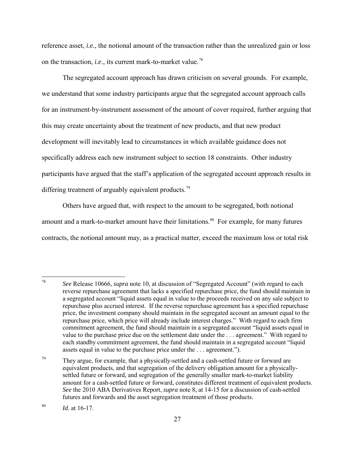reference asset, *i.e.*, the notional amount of the transaction rather than the unrealized gain or loss on the transaction, *i.e*., its current mark-to-market value.[78](#page-26-0)

 The segregated account approach has drawn criticism on several grounds. For example, we understand that some industry participants argue that the segregated account approach calls for an instrument-by-instrument assessment of the amount of cover required, further arguing that this may create uncertainty about the treatment of new products, and that new product development will inevitably lead to circumstances in which available guidance does not specifically address each new instrument subject to section 18 constraints. Other industry participants have argued that the staff's application of the segregated account approach results in differing treatment of arguably equivalent products.<sup>[79](#page-26-1)</sup>

Others have argued that, with respect to the amount to be segregated, both notional amount and a mark-to-market amount have their limitations.<sup>[80](#page-26-2)</sup> For example, for many futures contracts, the notional amount may, as a practical matter, exceed the maximum loss or total risk

<span id="page-26-0"></span><sup>78</sup> 78 *See* Release 10666, *supra* note [10,](#page-6-4) at discussion of "Segregated Account" (with regard to each reverse repurchase agreement that lacks a specified repurchase price, the fund should maintain in a segregated account "liquid assets equal in value to the proceeds received on any sale subject to repurchase plus accrued interest. If the reverse repurchase agreement has a specified repurchase price, the investment company should maintain in the segregated account an amount equal to the repurchase price, which price will already include interest charges." With regard to each firm commitment agreement, the fund should maintain in a segregated account "liquid assets equal in value to the purchase price due on the settlement date under the . . . agreement." With regard to each standby commitment agreement, the fund should maintain in a segregated account "liquid assets equal in value to the purchase price under the . . . agreement.").

<span id="page-26-1"></span> $79$  They argue, for example, that a physically-settled and a cash-settled future or forward are equivalent products, and that segregation of the delivery obligation amount for a physicallysettled future or forward, and segregation of the generally smaller mark-to-market liability amount for a cash-settled future or forward, constitutes different treatment of equivalent products. *See* the 2010 ABA Derivatives Report, *supra* note [8,](#page-5-1) at 14-15 for a discussion of cash-settled futures and forwards and the asset segregation treatment of those products.

<span id="page-26-2"></span><sup>80</sup> *Id.* at 16-17.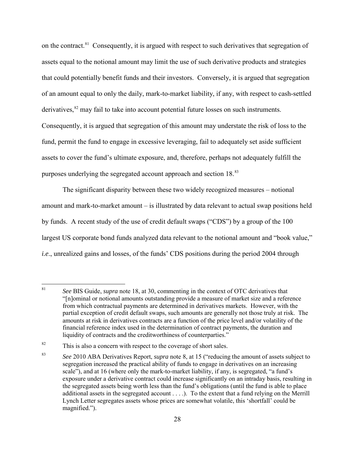on the contract.<sup>81</sup> Consequently, it is argued with respect to such derivatives that segregation of assets equal to the notional amount may limit the use of such derivative products and strategies that could potentially benefit funds and their investors. Conversely, it is argued that segregation of an amount equal to only the daily, mark-to-market liability, if any, with respect to cash-settled derivatives, $82$  may fail to take into account potential future losses on such instruments. Consequently, it is argued that segregation of this amount may understate the risk of loss to the fund, permit the fund to engage in excessive leveraging, fail to adequately set aside sufficient assets to cover the fund's ultimate exposure, and, therefore, perhaps not adequately fulfill the purposes underlying the segregated account approach and section 18.<sup>[83](#page-27-2)</sup>

The significant disparity between these two widely recognized measures – notional amount and mark-to-market amount – is illustrated by data relevant to actual swap positions held by funds. A recent study of the use of credit default swaps ("CDS") by a group of the 100 largest US corporate bond funds analyzed data relevant to the notional amount and "book value," *i.e*., unrealized gains and losses, of the funds' CDS positions during the period 2004 through

<span id="page-27-0"></span><sup>81</sup> 81 *See* BIS Guide, *supra* note [18,](#page-7-6) at 30, commenting in the context of OTC derivatives that "[n]ominal or notional amounts outstanding provide a measure of market size and a reference from which contractual payments are determined in derivatives markets. However, with the partial exception of credit default swaps, such amounts are generally not those truly at risk. The amounts at risk in derivatives contracts are a function of the price level and/or volatility of the financial reference index used in the determination of contract payments, the duration and liquidity of contracts and the creditworthiness of counterparties."

<span id="page-27-1"></span><sup>&</sup>lt;sup>82</sup> This is also a concern with respect to the coverage of short sales.

<span id="page-27-2"></span><sup>83</sup> *See* 2010 ABA Derivatives Report, *supra* note [8,](#page-5-1) at 15 ("reducing the amount of assets subject to segregation increased the practical ability of funds to engage in derivatives on an increasing scale"), and at 16 (where only the mark-to-market liability, if any, is segregated, "a fund's exposure under a derivative contract could increase significantly on an intraday basis, resulting in the segregated assets being worth less than the fund's obligations (until the fund is able to place additional assets in the segregated account . . . .). To the extent that a fund relying on the Merrill Lynch Letter segregates assets whose prices are somewhat volatile, this 'shortfall' could be magnified.").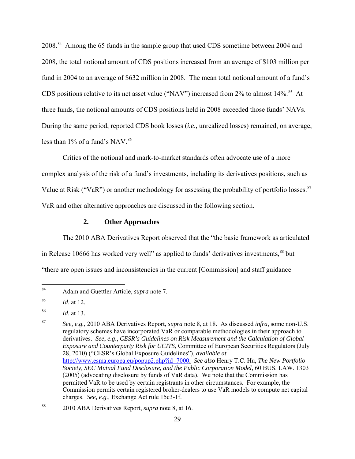2008.<sup>[84](#page-28-0)</sup> Among the 65 funds in the sample group that used CDS sometime between 2004 and 2008, the total notional amount of CDS positions increased from an average of \$103 million per fund in 2004 to an average of \$632 million in 2008. The mean total notional amount of a fund's CDS positions relative to its net asset value ("NAV") increased from  $2\%$  to almost  $14\%$ .<sup>[85](#page-28-1)</sup> At three funds, the notional amounts of CDS positions held in 2008 exceeded those funds' NAVs. During the same period, reported CDS book losses (*i.e*., unrealized losses) remained, on average, less than  $1\%$  of a fund's NAV.<sup>[86](#page-28-2)</sup>

Critics of the notional and mark-to-market standards often advocate use of a more complex analysis of the risk of a fund's investments, including its derivatives positions, such as Value at Risk ("VaR") or another methodology for assessing the probability of portfolio losses.<sup>[87](#page-28-3)</sup> VaR and other alternative approaches are discussed in the following section.

### <span id="page-28-5"></span>**2. Other Approaches**

The 2010 ABA Derivatives Report observed that the "the basic framework as articulated in Release 10666 has worked very well" as applied to funds' derivatives investments,<sup>[88](#page-28-4)</sup> but "there are open issues and inconsistencies in the current [Commission] and staff guidance

<span id="page-28-0"></span> $\rm 84$ 84 Adam and Guettler Article, *supra* note [7.](#page-4-5)

<span id="page-28-1"></span><sup>85</sup> *Id*. at 12.

<span id="page-28-2"></span><sup>86</sup> *Id*. at 13.

<span id="page-28-3"></span><sup>87</sup> *See, e.g.*, 2010 ABA Derivatives Report, *supra* note [8,](#page-5-1) at 18. As discussed *infra*, some non-U.S. regulatory schemes have incorporated VaR or comparable methodologies in their approach to derivatives. *See*, *e.g*., *CESR's Guidelines on Risk Measurement and the Calculation of Global Exposure and Counterparty Risk for UCITS*, Committee of European Securities Regulators (July 28, 2010) ("CESR's Global Exposure Guidelines"), *available at* [http://www.esma.europa.eu/popup2.php?id=7000.](http://www.esma.europa.eu/popup2.php?id=7000) *See also* Henry T.C. Hu, *The New Portfolio Society, SEC Mutual Fund Disclosure, and the Public Corporation Model*, 60 BUS. LAW. 1303 (2005) (advocating disclosure by funds of VaR data).We note that the Commission has permitted VaR to be used by certain registrants in other circumstances. For example, the Commission permits certain registered broker-dealers to use VaR models to compute net capital charges. *See, e.g.,* Exchange Act rule 15c3-1f.

<span id="page-28-4"></span><sup>88 2010</sup> ABA Derivatives Report, *supra* note [8,](#page-5-1) at 16.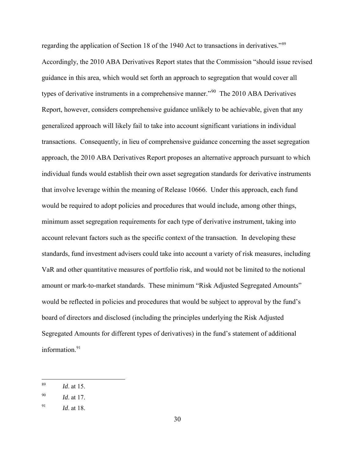regarding the application of Section 18 of the 1940 Act to transactions in derivatives."<sup>[89](#page-29-0)</sup> Accordingly, the 2010 ABA Derivatives Report states that the Commission "should issue revised guidance in this area, which would set forth an approach to segregation that would cover all types of derivative instruments in a comprehensive manner."<sup>90</sup> The 2010 ABA Derivatives Report, however, considers comprehensive guidance unlikely to be achievable, given that any generalized approach will likely fail to take into account significant variations in individual transactions. Consequently, in lieu of comprehensive guidance concerning the asset segregation approach, the 2010 ABA Derivatives Report proposes an alternative approach pursuant to which individual funds would establish their own asset segregation standards for derivative instruments that involve leverage within the meaning of Release 10666. Under this approach, each fund would be required to adopt policies and procedures that would include, among other things, minimum asset segregation requirements for each type of derivative instrument, taking into account relevant factors such as the specific context of the transaction. In developing these standards, fund investment advisers could take into account a variety of risk measures, including VaR and other quantitative measures of portfolio risk, and would not be limited to the notional amount or mark-to-market standards. These minimum "Risk Adjusted Segregated Amounts" would be reflected in policies and procedures that would be subject to approval by the fund's board of directors and disclosed (including the principles underlying the Risk Adjusted Segregated Amounts for different types of derivatives) in the fund's statement of additional information.<sup>[91](#page-29-2)</sup>

<span id="page-29-0"></span><sup>89</sup> *Id.* at 15.

<span id="page-29-1"></span><sup>90</sup> *Id*. at 17.

<span id="page-29-2"></span><sup>91</sup> *Id*. at 18.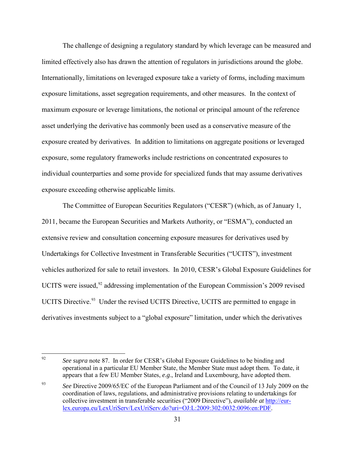The challenge of designing a regulatory standard by which leverage can be measured and limited effectively also has drawn the attention of regulators in jurisdictions around the globe. Internationally, limitations on leveraged exposure take a variety of forms, including maximum exposure limitations, asset segregation requirements, and other measures. In the context of maximum exposure or leverage limitations, the notional or principal amount of the reference asset underlying the derivative has commonly been used as a conservative measure of the exposure created by derivatives. In addition to limitations on aggregate positions or leveraged exposure, some regulatory frameworks include restrictions on concentrated exposures to individual counterparties and some provide for specialized funds that may assume derivatives exposure exceeding otherwise applicable limits.

The Committee of European Securities Regulators ("CESR") (which, as of January 1, 2011, became the European Securities and Markets Authority, or "ESMA"), conducted an extensive review and consultation concerning exposure measures for derivatives used by Undertakings for Collective Investment in Transferable Securities ("UCITS"), investment vehicles authorized for sale to retail investors. In 2010, CESR's Global Exposure Guidelines for UCITS were issued,<sup>[92](#page-30-0)</sup> addressing implementation of the European Commission's 2009 revised UCITS Directive.<sup>[93](#page-30-1)</sup> Under the revised UCITS Directive, UCITS are permitted to engage in derivatives investments subject to a "global exposure" limitation, under which the derivatives

<span id="page-30-0"></span><sup>92</sup> <sup>92</sup> See supra note [87.](#page-28-5) In order for CESR's Global Exposure Guidelines to be binding and operational in a particular EU Member State, the Member State must adopt them. To date, it appears that a few EU Member States, *e.g*., Ireland and Luxembourg, have adopted them.

<span id="page-30-1"></span><sup>&</sup>lt;sup>93</sup> *See* Directive 2009/65/EC of the European Parliament and of the Council of 13 July 2009 on the coordination of laws, regulations, and administrative provisions relating to undertakings for collective investment in transferable securities ("2009 Directive"), *available at* [http://eur](http://eur-lex.europa.eu/LexUriServ/LexUriServ.do?uri=OJ:L:2009:302:0032:0096:en:PDF)[lex.europa.eu/LexUriServ/LexUriServ.do?uri=OJ:L:2009:302:0032:0096:en:PDF.](http://eur-lex.europa.eu/LexUriServ/LexUriServ.do?uri=OJ:L:2009:302:0032:0096:en:PDF)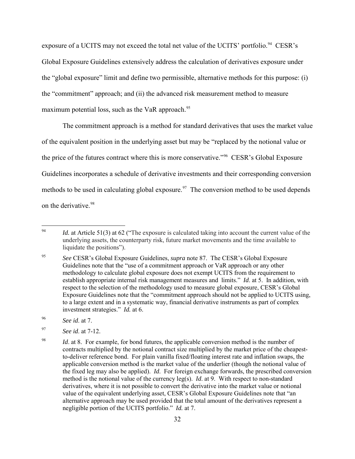exposure of a UCITS may not exceed the total net value of the UCITS' portfolio.<sup>[94](#page-31-0)</sup> CESR's Global Exposure Guidelines extensively address the calculation of derivatives exposure under the "global exposure" limit and define two permissible, alternative methods for this purpose: (i) the "commitment" approach; and (ii) the advanced risk measurement method to measure maximum potential loss, such as the VaR approach.<sup>[95](#page-31-1)</sup>

The commitment approach is a method for standard derivatives that uses the market value of the equivalent position in the underlying asset but may be "replaced by the notional value or the price of the futures contract where this is more conservative."<sup>[96](#page-31-2)</sup> CESR's Global Exposure Guidelines incorporates a schedule of derivative investments and their corresponding conversion methods to be used in calculating global exposure.<sup>[97](#page-31-3)</sup> The conversion method to be used depends on the derivative.<sup>[98](#page-31-4)</sup>

<span id="page-31-0"></span><sup>94</sup> *Id.* at Article 51(3) at 62 ("The exposure is calculated taking into account the current value of the underlying assets, the counterparty risk, future market movements and the time available to liquidate the positions").

<span id="page-31-1"></span><sup>95</sup> *See* CESR's Global Exposure Guidelines, *supra* note [87.](#page-28-5) The CESR's Global Exposure Guidelines note that the "use of a commitment approach or VaR approach or any other methodology to calculate global exposure does not exempt UCITS from the requirement to establish appropriate internal risk management measures and limits." *Id*. at 5. In addition, with respect to the selection of the methodology used to measure global exposure, CESR's Global Exposure Guidelines note that the "commitment approach should not be applied to UCITS using, to a large extent and in a systematic way, financial derivative instruments as part of complex investment strategies." *Id.* at 6.

<span id="page-31-2"></span><sup>96</sup> *See id*. at 7.

<span id="page-31-3"></span><sup>97</sup> *See id*. at 7-12.

<span id="page-31-4"></span><sup>&</sup>lt;sup>98</sup> *Id.* at 8. For example, for bond futures, the applicable conversion method is the number of contracts multiplied by the notional contract size multiplied by the market price of the cheapestto-deliver reference bond. For plain vanilla fixed/floating interest rate and inflation swaps, the applicable conversion method is the market value of the underlier (though the notional value of the fixed leg may also be applied). *Id*. For foreign exchange forwards, the prescribed conversion method is the notional value of the currency leg(s). *Id*. at 9. With respect to non-standard derivatives, where it is not possible to convert the derivative into the market value or notional value of the equivalent underlying asset, CESR's Global Exposure Guidelines note that "an alternative approach may be used provided that the total amount of the derivatives represent a negligible portion of the UCITS portfolio." *Id.* at 7.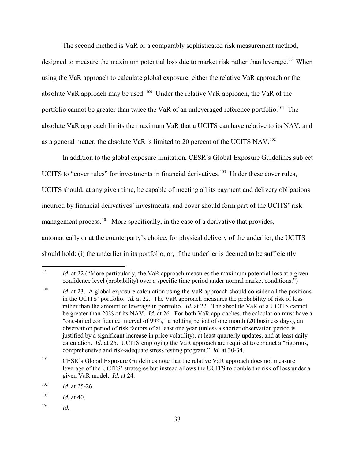The second method is VaR or a comparably sophisticated risk measurement method,

designed to measure the maximum potential loss due to market risk rather than leverage.<sup>99</sup> When using the VaR approach to calculate global exposure, either the relative VaR approach or the absolute VaR approach may be used. <sup>100</sup> Under the relative VaR approach, the VaR of the portfolio cannot be greater than twice the VaR of an unleveraged reference portfolio.<sup>[101](#page-32-2)</sup> The absolute VaR approach limits the maximum VaR that a UCITS can have relative to its NAV, and as a general matter, the absolute VaR is limited to 20 percent of the UCITS NAV.<sup>[102](#page-32-3)</sup>

In addition to the global exposure limitation, CESR's Global Exposure Guidelines subject UCITS to "cover rules" for investments in financial derivatives.<sup>103</sup> Under these cover rules, UCITS should, at any given time, be capable of meeting all its payment and delivery obligations incurred by financial derivatives' investments, and cover should form part of the UCITS' risk management process.<sup>[104](#page-32-5)</sup> More specifically, in the case of a derivative that provides, automatically or at the counterparty's choice, for physical delivery of the underlier, the UCITS should hold: (i) the underlier in its portfolio, or, if the underlier is deemed to be sufficiently

<span id="page-32-0"></span><sup>99</sup> *Id.* at 22 ("More particularly, the VaR approach measures the maximum potential loss at a given confidence level (probability) over a specific time period under normal market conditions.")

<span id="page-32-1"></span><sup>&</sup>lt;sup>100</sup> *Id.* at 23. A global exposure calculation using the VaR approach should consider all the positions in the UCITS' portfolio. *Id.* at 22. The VaR approach measures the probability of risk of loss rather than the amount of leverage in portfolio. *Id.* at 22. The absolute VaR of a UCITS cannot be greater than 20% of its NAV. *Id*. at 26. For both VaR approaches, the calculation must have a "one-tailed confidence interval of 99%," a holding period of one month (20 business days), an observation period of risk factors of at least one year (unless a shorter observation period is justified by a significant increase in price volatility), at least quarterly updates, and at least daily calculation. *Id*. at 26. UCITS employing the VaR approach are required to conduct a "rigorous, comprehensive and risk-adequate stress testing program." *Id*. at 30-34.

<span id="page-32-2"></span><sup>&</sup>lt;sup>101</sup> CESR's Global Exposure Guidelines note that the relative VaR approach does not measure leverage of the UCITS' strategies but instead allows the UCITS to double the risk of loss under a given VaR model. *Id*. at 24.

<span id="page-32-3"></span> $102$  *Id.* at 25-26.

<span id="page-32-4"></span><sup>103</sup> *Id.* at 40.

<span id="page-32-5"></span><sup>104</sup> *Id.*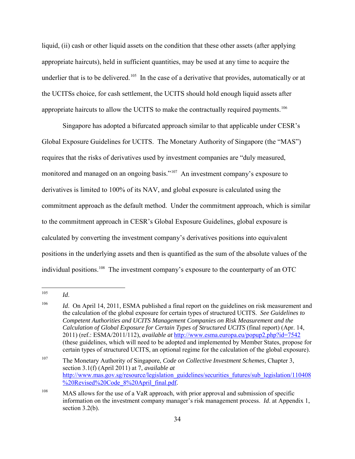liquid, (ii) cash or other liquid assets on the condition that these other assets (after applying appropriate haircuts), held in sufficient quantities, may be used at any time to acquire the underlier that is to be delivered.<sup>105</sup> In the case of a derivative that provides, automatically or at the UCITSs choice, for cash settlement, the UCITS should hold enough liquid assets after appropriate haircuts to allow the UCITS to make the contractually required payments.<sup>[106](#page-33-1)</sup>

Singapore has adopted a bifurcated approach similar to that applicable under CESR's Global Exposure Guidelines for UCITS. The Monetary Authority of Singapore (the "MAS") requires that the risks of derivatives used by investment companies are "duly measured, monitored and managed on an ongoing basis."<sup>107</sup> An investment company's exposure to derivatives is limited to 100% of its NAV, and global exposure is calculated using the commitment approach as the default method. Under the commitment approach, which is similar to the commitment approach in CESR's Global Exposure Guidelines, global exposure is calculated by converting the investment company's derivatives positions into equivalent positions in the underlying assets and then is quantified as the sum of the absolute values of the individual positions.<sup>[108](#page-33-3)</sup> The investment company's exposure to the counterparty of an OTC

<span id="page-33-0"></span><sup>105</sup>  $Id$ .

<span id="page-33-1"></span><sup>&</sup>lt;sup>106</sup> *Id.* On April 14, 2011, ESMA published a final report on the guidelines on risk measurement and the calculation of the global exposure for certain types of structured UCITS. *See Guidelines to Competent Authorities and UCITS Management Companies on Risk Measurement and the Calculation of Global Exposure for Certain Types of Structured UCITS* (final report) (Apr. 14, 2011) (ref.: ESMA/2011/112), *available at* <http://www.esma.europa.eu/popup2.php?id=7542> (these guidelines, which will need to be adopted and implemented by Member States, propose for certain types of structured UCITS, an optional regime for the calculation of the global exposure).

<span id="page-33-2"></span><sup>107</sup> The Monetary Authority of Singapore, *Code on Collective Investment Schemes*, Chapter 3, section 3.1(f) (April 2011) at 7, *available at* [http://www.mas.gov.sg/resource/legislation\\_guidelines/securities\\_futures/sub\\_legislation/110408](http://www.mas.gov.sg/resource/legislation_guidelines/securities_futures/sub_legislation/110408%20Revised%20Code_8%20April_final.pdf) [%20Revised%20Code\\_8%20April\\_final.pdf.](http://www.mas.gov.sg/resource/legislation_guidelines/securities_futures/sub_legislation/110408%20Revised%20Code_8%20April_final.pdf)

<span id="page-33-3"></span> $108$  MAS allows for the use of a VaR approach, with prior approval and submission of specific information on the investment company manager's risk management process. *Id*. at Appendix 1, section 3.2(b).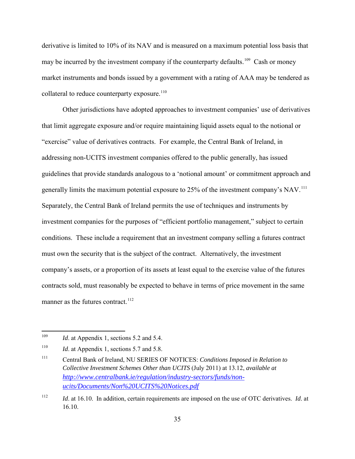derivative is limited to 10% of its NAV and is measured on a maximum potential loss basis that may be incurred by the investment company if the counterparty defaults.<sup>[109](#page-34-0)</sup> Cash or money market instruments and bonds issued by a government with a rating of AAA may be tendered as collateral to reduce counterparty exposure.<sup>[110](#page-34-1)</sup>

Other jurisdictions have adopted approaches to investment companies' use of derivatives that limit aggregate exposure and/or require maintaining liquid assets equal to the notional or "exercise" value of derivatives contracts. For example, the Central Bank of Ireland, in addressing non-UCITS investment companies offered to the public generally, has issued guidelines that provide standards analogous to a 'notional amount' or commitment approach and generally limits the maximum potential exposure to 25% of the investment company's NAV.<sup>111</sup> Separately, the Central Bank of Ireland permits the use of techniques and instruments by investment companies for the purposes of "efficient portfolio management," subject to certain conditions. These include a requirement that an investment company selling a futures contract must own the security that is the subject of the contract. Alternatively, the investment company's assets, or a proportion of its assets at least equal to the exercise value of the futures contracts sold, must reasonably be expected to behave in terms of price movement in the same manner as the futures contract.<sup>[112](#page-34-3)</sup>

<span id="page-34-0"></span><sup>109</sup> *Id.* at Appendix 1, sections 5.2 and 5.4.

<span id="page-34-1"></span><sup>&</sup>lt;sup>110</sup> *Id.* at Appendix 1, sections 5.7 and 5.8.

<span id="page-34-2"></span><sup>111</sup> Central Bank of Ireland, NU SERIES OF NOTICES: *Conditions Imposed in Relation to Collective Investment Schemes Other than UCITS* (July 2011) at 13.12, *available at [http://www.centralbank.ie/regulation/industry-sectors/funds/non](http://www.centralbank.ie/regulation/industry-sectors/funds/non-ucits/Documents/Non%20UCITS%20Notices.pdf)[ucits/Documents/Non%20UCITS%20Notices.pdf](http://www.centralbank.ie/regulation/industry-sectors/funds/non-ucits/Documents/Non%20UCITS%20Notices.pdf)*

<span id="page-34-3"></span><sup>112</sup> *Id*. at 16.10. In addition, certain requirements are imposed on the use of OTC derivatives. *Id*. at 16.10.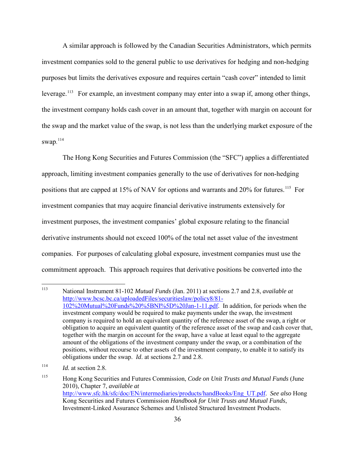A similar approach is followed by the Canadian Securities Administrators, which permits investment companies sold to the general public to use derivatives for hedging and non-hedging purposes but limits the derivatives exposure and requires certain "cash cover" intended to limit leverage.<sup>[113](#page-35-0)</sup> For example, an investment company may enter into a swap if, among other things, the investment company holds cash cover in an amount that, together with margin on account for the swap and the market value of the swap, is not less than the underlying market exposure of the swap.<sup>[114](#page-35-1)</sup>

The Hong Kong Securities and Futures Commission (the "SFC") applies a differentiated approach, limiting investment companies generally to the use of derivatives for non-hedging positions that are capped at 15% of NAV for options and warrants and 20% for futures.<sup>[115](#page-35-2)</sup> For investment companies that may acquire financial derivative instruments extensively for investment purposes, the investment companies' global exposure relating to the financial derivative instruments should not exceed 100% of the total net asset value of the investment companies. For purposes of calculating global exposure, investment companies must use the commitment approach. This approach requires that derivative positions be converted into the

<span id="page-35-0"></span><sup>113</sup>  [National Instrument 81-102](http://www.osc.gov.on.ca/en/13046.htm) *Mutual Funds* (Jan. 2011) at sections 2.7 and 2.8, *available at* [http://www.bcsc.bc.ca/uploadedFiles/securitieslaw/policy8/81-](http://www.bcsc.bc.ca/uploadedFiles/securitieslaw/policy8/81-102%20Mutual%20Funds%20%5BNI%5D%20Jan-1-11.pdf) [102%20Mutual%20Funds%20%5BNI%5D%20Jan-1-11.pdf.](http://www.bcsc.bc.ca/uploadedFiles/securitieslaw/policy8/81-102%20Mutual%20Funds%20%5BNI%5D%20Jan-1-11.pdf) In addition, for periods when the investment company would be required to make payments under the swap, the investment company is required to hold an equivalent quantity of the reference asset of the swap, a right or obligation to acquire an equivalent quantity of the reference asset of the swap and cash cover that, together with the margin on account for the swap, have a value at least equal to the aggregate amount of the obligations of the investment company under the swap, or a combination of the positions, without recourse to other assets of the investment company, to enable it to satisfy its obligations under the swap. *Id*. at sections 2.7 and 2.8.

<span id="page-35-1"></span> $114$  *Id.* at section 2.8.

<span id="page-35-2"></span><sup>115</sup> Hong Kong Securities and Futures Commission, *Code on Unit Trusts and Mutual Funds* (June 2010), Chapter 7, *available at* [http://www.sfc.hk/sfc/doc/EN/intermediaries/products/handBooks/Eng\\_UT.pdf.](http://www.sfc.hk/sfc/doc/EN/intermediaries/products/handBooks/Eng_UT.pdf) *See also* Hong Kong Securities and Futures Commission *Handbook for Unit Trusts and Mutual Funds*, Investment-Linked Assurance Schemes and Unlisted Structured Investment Products.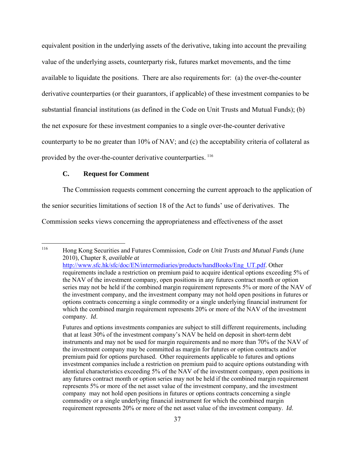equivalent position in the underlying assets of the derivative, taking into account the prevailing value of the underlying assets, counterparty risk, futures market movements, and the time available to liquidate the positions. There are also requirements for: (a) the over-the-counter derivative counterparties (or their guarantors, if applicable) of these investment companies to be substantial financial institutions (as defined in the Code on Unit Trusts and Mutual Funds); (b) the net exposure for these investment companies to a single over-the-counter derivative counterparty to be no greater than 10% of NAV; and (c) the acceptability criteria of collateral as provided by the over-the-counter derivative counterparties. <sup>[116](#page-36-0)</sup>

## **C. Request for Comment**

The Commission requests comment concerning the current approach to the application of the senior securities limitations of section 18 of the Act to funds' use of derivatives. The

Commission seeks views concerning the appropriateness and effectiveness of the asset

<span id="page-36-0"></span><sup>116</sup> 116 Hong Kong Securities and Futures Commission, *Code on Unit Trusts and Mutual Funds* (June 2010), Chapter 8, *available at* [http://www.sfc.hk/sfc/doc/EN/intermediaries/products/handBooks/Eng\\_UT.pdf.](http://www.sfc.hk/sfc/doc/EN/intermediaries/products/handBooks/Eng_UT.pdf) Other requirements include a restriction on premium paid to acquire identical options exceeding 5% of the NAV of the investment company, open positions in any futures contract month or option series may not be held if the combined margin requirement represents 5% or more of the NAV of the investment company, and the investment company may not hold open positions in futures or options contracts concerning a single commodity or a single underlying financial instrument for which the combined margin requirement represents 20% or more of the NAV of the investment company. *Id*.

Futures and options investments companies are subject to still different requirements, including that at least 30% of the investment company's NAV be held on deposit in short-term debt instruments and may not be used for margin requirements and no more than 70% of the NAV of the investment company may be committed as margin for futures or option contracts and/or premium paid for options purchased. Other requirements applicable to futures and options investment companies include a restriction on premium paid to acquire options outstanding with identical characteristics exceeding 5% of the NAV of the investment company, open positions in any futures contract month or option series may not be held if the combined margin requirement represents 5% or more of the net asset value of the investment company, and the investment company may not hold open positions in futures or options contracts concerning a single commodity or a single underlying financial instrument for which the combined margin requirement represents 20% or more of the net asset value of the investment company. *Id*.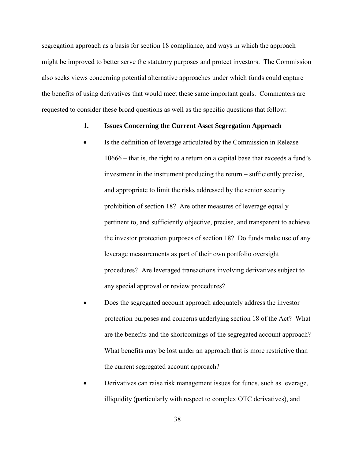segregation approach as a basis for section 18 compliance, and ways in which the approach might be improved to better serve the statutory purposes and protect investors. The Commission also seeks views concerning potential alternative approaches under which funds could capture the benefits of using derivatives that would meet these same important goals. Commenters are requested to consider these broad questions as well as the specific questions that follow:

### **1. Issues Concerning the Current Asset Segregation Approach**

- Is the definition of leverage articulated by the Commission in Release 10666 – that is, the right to a return on a capital base that exceeds a fund's investment in the instrument producing the return – sufficiently precise, and appropriate to limit the risks addressed by the senior security prohibition of section 18? Are other measures of leverage equally pertinent to, and sufficiently objective, precise, and transparent to achieve the investor protection purposes of section 18? Do funds make use of any leverage measurements as part of their own portfolio oversight procedures? Are leveraged transactions involving derivatives subject to any special approval or review procedures?
- Does the segregated account approach adequately address the investor protection purposes and concerns underlying section 18 of the Act? What are the benefits and the shortcomings of the segregated account approach? What benefits may be lost under an approach that is more restrictive than the current segregated account approach?
- Derivatives can raise risk management issues for funds, such as leverage, illiquidity (particularly with respect to complex OTC derivatives), and

38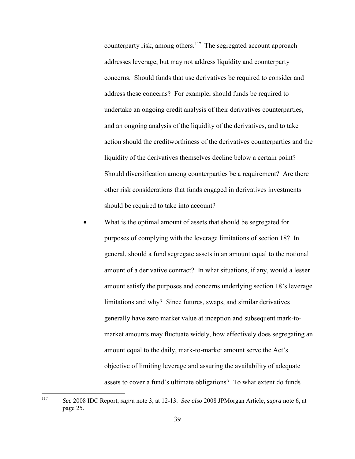counterparty risk, among others.<sup>[117](#page-38-0)</sup> The segregated account approach addresses leverage, but may not address liquidity and counterparty concerns. Should funds that use derivatives be required to consider and address these concerns? For example, should funds be required to undertake an ongoing credit analysis of their derivatives counterparties, and an ongoing analysis of the liquidity of the derivatives, and to take action should the creditworthiness of the derivatives counterparties and the liquidity of the derivatives themselves decline below a certain point? Should diversification among counterparties be a requirement? Are there other risk considerations that funds engaged in derivatives investments should be required to take into account?

What is the optimal amount of assets that should be segregated for purposes of complying with the leverage limitations of section 18? In general, should a fund segregate assets in an amount equal to the notional amount of a derivative contract? In what situations, if any, would a lesser amount satisfy the purposes and concerns underlying section 18's leverage limitations and why? Since futures, swaps, and similar derivatives generally have zero market value at inception and subsequent mark-tomarket amounts may fluctuate widely, how effectively does segregating an amount equal to the daily, mark-to-market amount serve the Act's objective of limiting leverage and assuring the availability of adequate assets to cover a fund's ultimate obligations? To what extent do funds

<span id="page-38-0"></span><sup>117</sup> 117 *See* 2008 IDC Report, *supr*a note [3,](#page-3-4) at 12-13. *See also* 2008 JPMorgan Article, *supra* not[e 6,](#page-4-4) at page 25.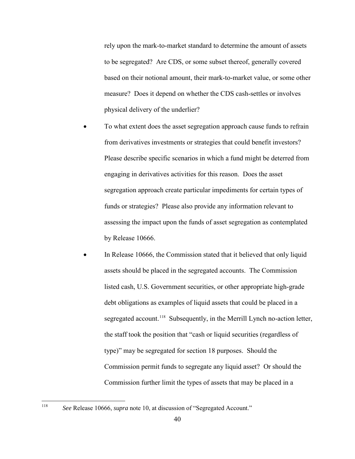rely upon the mark-to-market standard to determine the amount of assets to be segregated? Are CDS, or some subset thereof, generally covered based on their notional amount, their mark-to-market value, or some other measure? Does it depend on whether the CDS cash-settles or involves physical delivery of the underlier?

- To what extent does the asset segregation approach cause funds to refrain from derivatives investments or strategies that could benefit investors? Please describe specific scenarios in which a fund might be deterred from engaging in derivatives activities for this reason. Does the asset segregation approach create particular impediments for certain types of funds or strategies? Please also provide any information relevant to assessing the impact upon the funds of asset segregation as contemplated by Release 10666.
- In Release 10666, the Commission stated that it believed that only liquid assets should be placed in the segregated accounts. The Commission listed cash, U.S. Government securities, or other appropriate high-grade debt obligations as examples of liquid assets that could be placed in a segregated account.<sup>[118](#page-39-0)</sup> Subsequently, in the Merrill Lynch no-action letter, the staff took the position that "cash or liquid securities (regardless of type)" may be segregated for section 18 purposes. Should the Commission permit funds to segregate any liquid asset? Or should the Commission further limit the types of assets that may be placed in a

<span id="page-39-0"></span><sup>118</sup> <sup>118</sup> See Release 10666, *supra* note [10,](#page-6-4) at discussion of "Segregated Account."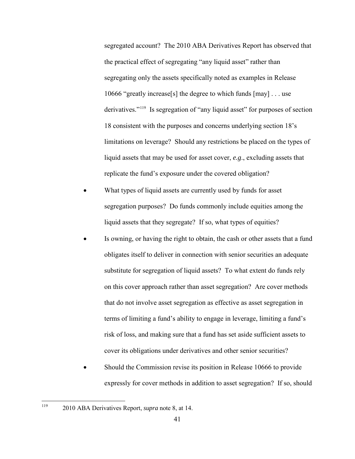segregated account? The 2010 ABA Derivatives Report has observed that the practical effect of segregating "any liquid asset" rather than segregating only the assets specifically noted as examples in Release 10666 "greatly increase[s] the degree to which funds [may] . . . use derivatives."<sup>[119](#page-40-0)</sup> Is segregation of "any liquid asset" for purposes of section 18 consistent with the purposes and concerns underlying section 18's limitations on leverage? Should any restrictions be placed on the types of liquid assets that may be used for asset cover, *e.g*., excluding assets that replicate the fund's exposure under the covered obligation?

- What types of liquid assets are currently used by funds for asset segregation purposes? Do funds commonly include equities among the liquid assets that they segregate? If so, what types of equities?
- Is owning, or having the right to obtain, the cash or other assets that a fund obligates itself to deliver in connection with senior securities an adequate substitute for segregation of liquid assets? To what extent do funds rely on this cover approach rather than asset segregation? Are cover methods that do not involve asset segregation as effective as asset segregation in terms of limiting a fund's ability to engage in leverage, limiting a fund's risk of loss, and making sure that a fund has set aside sufficient assets to cover its obligations under derivatives and other senior securities?
- Should the Commission revise its position in Release 10666 to provide expressly for cover methods in addition to asset segregation? If so, should

<span id="page-40-0"></span><sup>119</sup> 119 2010 ABA Derivatives Report, *supra* note [8,](#page-5-1) at 14.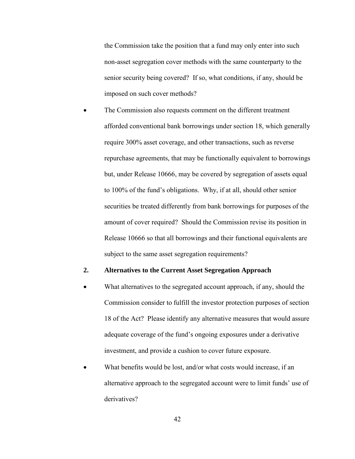the Commission take the position that a fund may only enter into such non-asset segregation cover methods with the same counterparty to the senior security being covered? If so, what conditions, if any, should be imposed on such cover methods?

The Commission also requests comment on the different treatment afforded conventional bank borrowings under section 18, which generally require 300% asset coverage, and other transactions, such as reverse repurchase agreements, that may be functionally equivalent to borrowings but, under Release 10666, may be covered by segregation of assets equal to 100% of the fund's obligations. Why, if at all, should other senior securities be treated differently from bank borrowings for purposes of the amount of cover required? Should the Commission revise its position in Release 10666 so that all borrowings and their functional equivalents are subject to the same asset segregation requirements?

#### **2. Alternatives to the Current Asset Segregation Approach**

- What alternatives to the segregated account approach, if any, should the Commission consider to fulfill the investor protection purposes of section 18 of the Act? Please identify any alternative measures that would assure adequate coverage of the fund's ongoing exposures under a derivative investment, and provide a cushion to cover future exposure.
- What benefits would be lost, and/or what costs would increase, if an alternative approach to the segregated account were to limit funds' use of derivatives?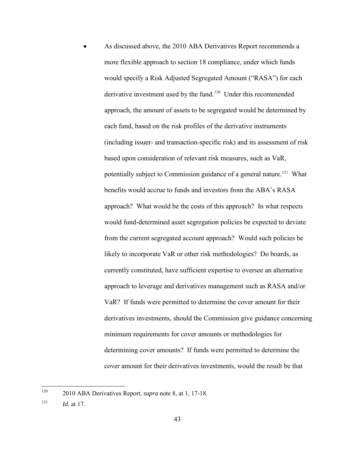As discussed above, the 2010 ABA Derivatives Report recommends a more flexible approach to section 18 compliance, under which funds would specify a Risk Adjusted Segregated Amount ("RASA") for each derivative investment used by the fund.<sup>[120](#page-42-0)</sup> Under this recommended approach, the amount of assets to be segregated would be determined by each fund, based on the risk profiles of the derivative instruments (including issuer- and transaction-specific risk) and its assessment of risk based upon consideration of relevant risk measures, such as VaR, potentially subject to Commission guidance of a general nature.<sup>[121](#page-42-1)</sup> What benefits would accrue to funds and investors from the ABA's RASA approach? What would be the costs of this approach? In what respects would fund-determined asset segregation policies be expected to deviate from the current segregated account approach? Would such policies be likely to incorporate VaR or other risk methodologies? Do boards, as currently constituted, have sufficient expertise to oversee an alternative approach to leverage and derivatives management such as RASA and/or VaR? If funds were permitted to determine the cover amount for their derivatives investments, should the Commission give guidance concerning minimum requirements for cover amounts or methodologies for determining cover amounts? If funds were permitted to determine the cover amount for their derivatives investments, would the result be that

<span id="page-42-0"></span><sup>120</sup> <sup>120</sup> 2010 ABA Derivatives Report, *supra* note [8,](#page-5-1) at 1, 17-18.

<span id="page-42-1"></span> $121$  *Id.* at 17.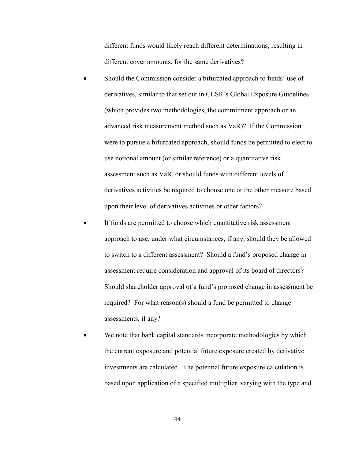different funds would likely reach different determinations, resulting in different cover amounts, for the same derivatives?

- Should the Commission consider a bifurcated approach to funds' use of derivatives, similar to that set out in CESR's Global Exposure Guidelines (which provides two methodologies, the commitment approach or an advanced risk measurement method such as VaR)? If the Commission were to pursue a bifurcated approach, should funds be permitted to elect to use notional amount (or similar reference) or a quantitative risk assessment such as VaR, or should funds with different levels of derivatives activities be required to choose one or the other measure based upon their level of derivatives activities or other factors?
- If funds are permitted to choose which quantitative risk assessment approach to use, under what circumstances, if any, should they be allowed to switch to a different assessment? Should a fund's proposed change in assessment require consideration and approval of its board of directors? Should shareholder approval of a fund's proposed change in assessment be required? For what reason(s) should a fund be permitted to change assessments, if any?
- We note that bank capital standards incorporate methodologies by which the current exposure and potential future exposure created by derivative investments are calculated. The potential future exposure calculation is based upon application of a specified multiplier, varying with the type and

44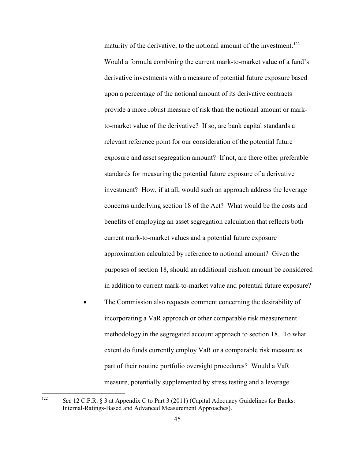maturity of the derivative, to the notional amount of the investment.<sup>[122](#page-44-0)</sup> Would a formula combining the current mark-to-market value of a fund's derivative investments with a measure of potential future exposure based upon a percentage of the notional amount of its derivative contracts provide a more robust measure of risk than the notional amount or markto-market value of the derivative? If so, are bank capital standards a relevant reference point for our consideration of the potential future exposure and asset segregation amount? If not, are there other preferable standards for measuring the potential future exposure of a derivative investment? How, if at all, would such an approach address the leverage concerns underlying section 18 of the Act? What would be the costs and benefits of employing an asset segregation calculation that reflects both current mark-to-market values and a potential future exposure approximation calculated by reference to notional amount? Given the purposes of section 18, should an additional cushion amount be considered in addition to current mark-to-market value and potential future exposure?

The Commission also requests comment concerning the desirability of incorporating a VaR approach or other comparable risk measurement methodology in the segregated account approach to section 18. To what extent do funds currently employ VaR or a comparable risk measure as part of their routine portfolio oversight procedures? Would a VaR measure, potentially supplemented by stress testing and a leverage

<span id="page-44-0"></span><sup>122</sup> 122 *See* 12 C.F.R. § 3 at Appendix C to Part 3 (2011) (Capital Adequacy Guidelines for Banks: Internal-Ratings-Based and Advanced Measurement Approaches).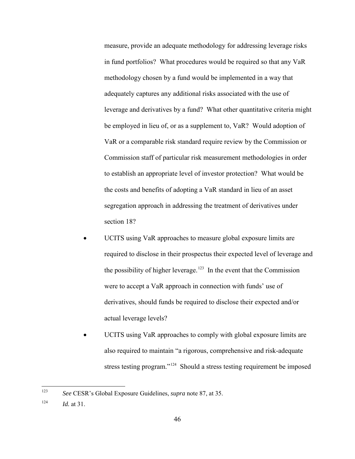measure, provide an adequate methodology for addressing leverage risks in fund portfolios? What procedures would be required so that any VaR methodology chosen by a fund would be implemented in a way that adequately captures any additional risks associated with the use of leverage and derivatives by a fund? What other quantitative criteria might be employed in lieu of, or as a supplement to, VaR? Would adoption of VaR or a comparable risk standard require review by the Commission or Commission staff of particular risk measurement methodologies in order to establish an appropriate level of investor protection? What would be the costs and benefits of adopting a VaR standard in lieu of an asset segregation approach in addressing the treatment of derivatives under section 18?

- UCITS using VaR approaches to measure global exposure limits are required to disclose in their prospectus their expected level of leverage and the possibility of higher leverage.<sup>[123](#page-45-0)</sup> In the event that the Commission were to accept a VaR approach in connection with funds' use of derivatives, should funds be required to disclose their expected and/or actual leverage levels?
- UCITS using VaR approaches to comply with global exposure limits are also required to maintain "a rigorous, comprehensive and risk-adequate stress testing program."<sup>[124](#page-45-1)</sup> Should a stress testing requirement be imposed

<span id="page-45-0"></span><sup>123</sup> 123 *See* CESR's Global Exposure Guidelines, *supra* note [87,](#page-28-5) at 35.

<span id="page-45-1"></span> $124$  *Id.* at 31.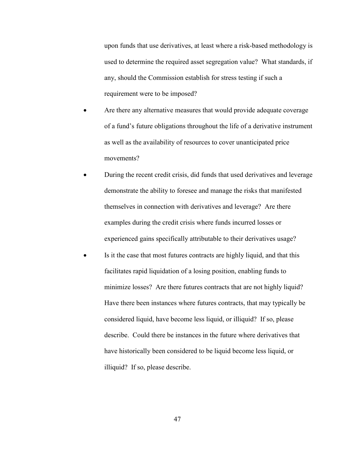upon funds that use derivatives, at least where a risk-based methodology is used to determine the required asset segregation value? What standards, if any, should the Commission establish for stress testing if such a requirement were to be imposed?

- Are there any alternative measures that would provide adequate coverage of a fund's future obligations throughout the life of a derivative instrument as well as the availability of resources to cover unanticipated price movements?
- During the recent credit crisis, did funds that used derivatives and leverage demonstrate the ability to foresee and manage the risks that manifested themselves in connection with derivatives and leverage? Are there examples during the credit crisis where funds incurred losses or experienced gains specifically attributable to their derivatives usage?
- Is it the case that most futures contracts are highly liquid, and that this facilitates rapid liquidation of a losing position, enabling funds to minimize losses? Are there futures contracts that are not highly liquid? Have there been instances where futures contracts, that may typically be considered liquid, have become less liquid, or illiquid? If so, please describe. Could there be instances in the future where derivatives that have historically been considered to be liquid become less liquid, or illiquid? If so, please describe.

47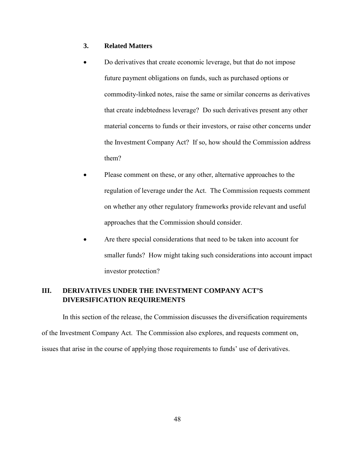### **3. Related Matters**

- Do derivatives that create economic leverage, but that do not impose future payment obligations on funds, such as purchased options or commodity-linked notes, raise the same or similar concerns as derivatives that create indebtedness leverage? Do such derivatives present any other material concerns to funds or their investors, or raise other concerns under the Investment Company Act? If so, how should the Commission address them?
- Please comment on these, or any other, alternative approaches to the regulation of leverage under the Act. The Commission requests comment on whether any other regulatory frameworks provide relevant and useful approaches that the Commission should consider.
- Are there special considerations that need to be taken into account for smaller funds? How might taking such considerations into account impact investor protection?

# **III. DERIVATIVES UNDER THE INVESTMENT COMPANY ACT'S DIVERSIFICATION REQUIREMENTS**

In this section of the release, the Commission discusses the diversification requirements of the Investment Company Act. The Commission also explores, and requests comment on, issues that arise in the course of applying those requirements to funds' use of derivatives.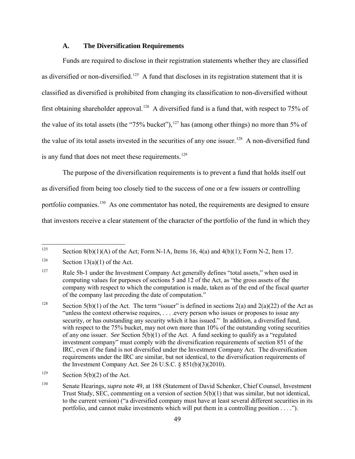#### **A. The Diversification Requirements**

Funds are required to disclose in their registration statements whether they are classified as diversified or non-diversified.<sup>125</sup> A fund that discloses in its registration statement that it is classified as diversified is prohibited from changing its classification to non-diversified without first obtaining shareholder approval.<sup>126</sup> A diversified fund is a fund that, with respect to 75% of the value of its total assets (the "75% bucket"),  $127$  has (among other things) no more than 5% of the value of its total assets invested in the securities of any one issuer.<sup>[128](#page-48-3)</sup> A non-diversified fund is any fund that does not meet these requirements.<sup>[129](#page-48-4)</sup>

 The purpose of the diversification requirements is to prevent a fund that holds itself out as diversified from being too closely tied to the success of one or a few issuers or controlling portfolio companies.<sup>[130](#page-48-5)</sup> As one commentator has noted, the requirements are designed to ensure that investors receive a clear statement of the character of the portfolio of the fund in which they

<span id="page-48-0"></span><sup>125</sup> Section 8(b)(1)(A) of the Act; Form N-1A, Items 16,  $4(a)$  and  $4(b)(1)$ ; Form N-2, Item 17.

<span id="page-48-1"></span><sup>&</sup>lt;sup>126</sup> Section 13(a)(1) of the Act.

<span id="page-48-2"></span><sup>&</sup>lt;sup>127</sup> Rule 5b-1 under the Investment Company Act generally defines "total assets," when used in computing values for purposes of sections 5 and 12 of the Act, as "the gross assets of the company with respect to which the computation is made, taken as of the end of the fiscal quarter of the company last preceding the date of computation."

<span id="page-48-3"></span><sup>&</sup>lt;sup>128</sup> Section 5(b)(1) of the Act. The term "issuer" is defined in sections 2(a) and 2(a)(22) of the Act as "unless the context otherwise requires, . . . .every person who issues or proposes to issue any security, or has outstanding any security which it has issued." In addition, a diversified fund, with respect to the 75% bucket, may not own more than 10% of the outstanding voting securities of any one issuer. *See* Section 5(b)(1) of the Act. A fund seeking to qualify as a "regulated investment company" must comply with the diversification requirements of section 851 of the IRC, even if the fund is not diversified under the Investment Company Act. The diversification requirements under the IRC are similar, but not identical, to the diversification requirements of the Investment Company Act. *See* 26 U.S.C. § 851(b)(3)(2010).

<span id="page-48-4"></span><sup>&</sup>lt;sup>129</sup> Section 5(b)(2) of the Act.

<span id="page-48-5"></span><sup>&</sup>lt;sup>130</sup> Senate Hearings, *supra* note [49,](#page-18-7) at 188 (Statement of David Schenker, Chief Counsel, Investment Trust Study, SEC, commenting on a version of section  $5(b)(1)$  that was similar, but not identical, to the current version) ("a diversified company must have at least several different securities in its portfolio, and cannot make investments which will put them in a controlling position . . . .").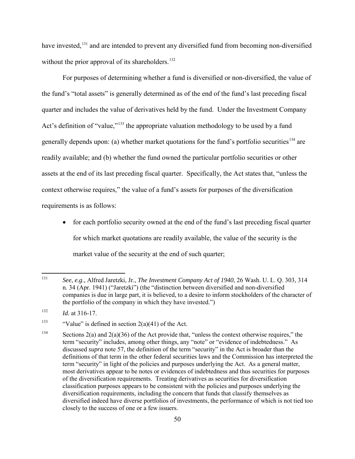<span id="page-49-4"></span>have invested,<sup>[131](#page-49-0)</sup> and are intended to prevent any diversified fund from becoming non-diversified without the prior approval of its shareholders.<sup>[132](#page-49-1)</sup>

For purposes of determining whether a fund is diversified or non-diversified, the value of the fund's "total assets" is generally determined as of the end of the fund's last preceding fiscal quarter and includes the value of derivatives held by the fund. Under the Investment Company Act's definition of "value,"<sup>[133](#page-49-2)</sup> the appropriate valuation methodology to be used by a fund generally depends upon: (a) whether market quotations for the fund's portfolio securities<sup>[134](#page-49-3)</sup> are readily available; and (b) whether the fund owned the particular portfolio securities or other assets at the end of its last preceding fiscal quarter. Specifically, the Act states that, "unless the context otherwise requires," the value of a fund's assets for purposes of the diversification requirements is as follows:

• for each portfolio security owned at the end of the fund's last preceding fiscal quarter for which market quotations are readily available, the value of the security is the market value of the security at the end of such quarter;

<span id="page-49-0"></span><sup>131</sup> 131 *See, e.g*., Alfred Jaretzki, Jr., *The Investment Company Act of 1940*, 26 Wash. U. L. Q. 303, 314 n. 34 (Apr. 1941) ("Jaretzki") (the "distinction between diversified and non-diversified companies is due in large part, it is believed, to a desire to inform stockholders of the character of the portfolio of the company in which they have invested.")

<span id="page-49-1"></span> $132$  *Id.* at 316-17.

<span id="page-49-2"></span><sup>&</sup>lt;sup>133</sup> "Value" is defined in section  $2(a)(41)$  of the Act.

<span id="page-49-3"></span><sup>&</sup>lt;sup>134</sup> Sections 2(a) and 2(a)(36) of the Act provide that, "unless the context otherwise requires," the term "security" includes, among other things, any "note" or "evidence of indebtedness." As discussed *supra* note [57,](#page-19-4) the definition of the term "security" in the Act is broader than the definitions of that term in the other federal securities laws and the Commission has interpreted the term "security" in light of the policies and purposes underlying the Act. As a general matter, most derivatives appear to be notes or evidences of indebtedness and thus securities for purposes of the diversification requirements. Treating derivatives as securities for diversification classification purposes appears to be consistent with the policies and purposes underlying the diversification requirements, including the concern that funds that classify themselves as diversified indeed have diverse portfolios of investments, the performance of which is not tied too closely to the success of one or a few issuers.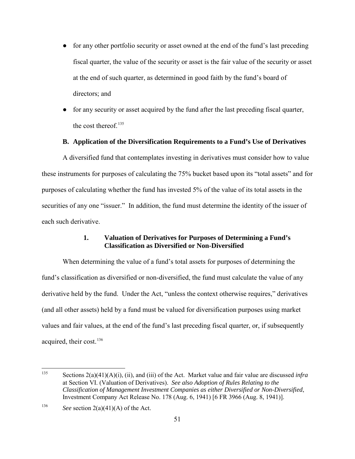- for any other portfolio security or asset owned at the end of the fund's last preceding fiscal quarter, the value of the security or asset is the fair value of the security or asset at the end of such quarter, as determined in good faith by the fund's board of directors; and
- for any security or asset acquired by the fund after the last preceding fiscal quarter, the cost thereof.<sup>[135](#page-50-0)</sup>

### **B. Application of the Diversification Requirements to a Fund's Use of Derivatives**

A diversified fund that contemplates investing in derivatives must consider how to value these instruments for purposes of calculating the 75% bucket based upon its "total assets" and for purposes of calculating whether the fund has invested 5% of the value of its total assets in the securities of any one "issuer." In addition, the fund must determine the identity of the issuer of each such derivative.

## **1. Valuation of Derivatives for Purposes of Determining a Fund's Classification as Diversified or Non-Diversified**

When determining the value of a fund's total assets for purposes of determining the fund's classification as diversified or non-diversified, the fund must calculate the value of any derivative held by the fund. Under the Act, "unless the context otherwise requires," derivatives (and all other assets) held by a fund must be valued for diversification purposes using market values and fair values, at the end of the fund's last preceding fiscal quarter, or, if subsequently acquired, their cost.<sup>[136](#page-50-1)</sup>

<span id="page-50-0"></span><sup>135</sup> Sections  $2(a)(41)(A)(i)$ , (ii), and (iii) of the Act. Market value and fair value are discussed *infra* at Section VI. (Valuation of Derivatives). *See also Adoption of Rules Relating to the Classification of Management Investment Companies as either Diversified or Non-Diversified*, Investment Company Act Release No. 178 (Aug. 6, 1941) [6 FR 3966 (Aug. 8, 1941)].

<span id="page-50-1"></span><sup>&</sup>lt;sup>136</sup> *See* section 2(a)(41)(A) of the Act.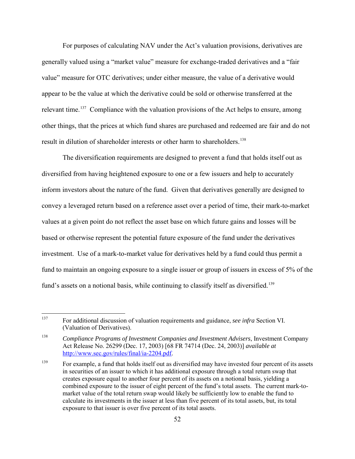For purposes of calculating NAV under the Act's valuation provisions, derivatives are generally valued using a "market value" measure for exchange-traded derivatives and a "fair value" measure for OTC derivatives; under either measure, the value of a derivative would appear to be the value at which the derivative could be sold or otherwise transferred at the relevant time.<sup>137</sup> Compliance with the valuation provisions of the Act helps to ensure, among other things, that the prices at which fund shares are purchased and redeemed are fair and do not result in dilution of shareholder interests or other harm to shareholders.<sup>[138](#page-51-1)</sup>

The diversification requirements are designed to prevent a fund that holds itself out as diversified from having heightened exposure to one or a few issuers and help to accurately inform investors about the nature of the fund. Given that derivatives generally are designed to convey a leveraged return based on a reference asset over a period of time, their mark-to-market values at a given point do not reflect the asset base on which future gains and losses will be based or otherwise represent the potential future exposure of the fund under the derivatives investment. Use of a mark-to-market value for derivatives held by a fund could thus permit a fund to maintain an ongoing exposure to a single issuer or group of issuers in excess of 5% of the fund's assets on a notional basis, while continuing to classify itself as diversified.<sup>[139](#page-51-2)</sup>

<span id="page-51-0"></span><sup>137</sup> 137 For additional discussion of valuation requirements and guidance, *see infra* Section VI. (Valuation of Derivatives).

<span id="page-51-1"></span><sup>138</sup> *Compliance Programs of Investment Companies and Investment Advisers*, Investment Company Act Release No. 26299 (Dec. 17, 2003) [68 FR 74714 (Dec. 24, 2003)] *available at* [http://www.sec.gov/rules/final/ia-2204.pdf.](http://www.sec.gov/rules/final/ia-2204.pdf)

<span id="page-51-2"></span><sup>&</sup>lt;sup>139</sup> For example, a fund that holds itself out as diversified may have invested four percent of its assets in securities of an issuer to which it has additional exposure through a total return swap that creates exposure equal to another four percent of its assets on a notional basis, yielding a combined exposure to the issuer of eight percent of the fund's total assets. The current mark-tomarket value of the total return swap would likely be sufficiently low to enable the fund to calculate its investments in the issuer at less than five percent of its total assets, but, its total exposure to that issuer is over five percent of its total assets.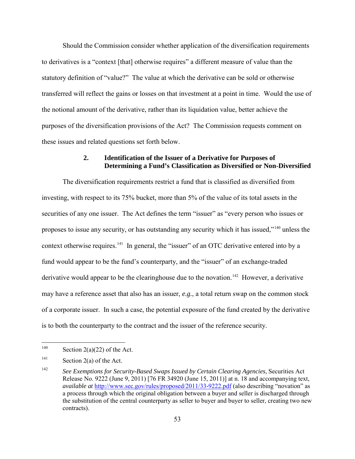Should the Commission consider whether application of the diversification requirements to derivatives is a "context [that] otherwise requires" a different measure of value than the statutory definition of "value?" The value at which the derivative can be sold or otherwise transferred will reflect the gains or losses on that investment at a point in time. Would the use of the notional amount of the derivative, rather than its liquidation value, better achieve the purposes of the diversification provisions of the Act? The Commission requests comment on these issues and related questions set forth below.

## **2. Identification of the Issuer of a Derivative for Purposes of Determining a Fund's Classification as Diversified or Non-Diversified**

The diversification requirements restrict a fund that is classified as diversified from investing, with respect to its 75% bucket, more than 5% of the value of its total assets in the securities of any one issuer. The Act defines the term "issuer" as "every person who issues or proposes to issue any security, or has outstanding any security which it has issued,"[140](#page-52-0) unless the context otherwise requires.<sup>141</sup> In general, the "issuer" of an OTC derivative entered into by a fund would appear to be the fund's counterparty, and the "issuer" of an exchange-traded derivative would appear to be the clearinghouse due to the novation.<sup>[142](#page-52-2)</sup> However, a derivative may have a reference asset that also has an issuer, *e.g.*, a total return swap on the common stock of a corporate issuer. In such a case, the potential exposure of the fund created by the derivative is to both the counterparty to the contract and the issuer of the reference security.

<span id="page-52-0"></span><sup>140</sup> Section  $2(a)(22)$  of the Act.

<span id="page-52-1"></span> $141$  Section 2(a) of the Act.

<span id="page-52-2"></span><sup>142</sup> *See Exemptions for Security-Based Swaps Issued by Certain Clearing Agencies*, Securities Act Release No. 9222 (June 9, 2011) [76 FR 34920 (June 15, 2011)] at n. 18 and accompanying text, *available at* <http://www.sec.gov/rules/proposed/2011/33-9222.pdf> (also describing "novation" as a process through which the original obligation between a buyer and seller is discharged through the substitution of the central counterparty as seller to buyer and buyer to seller, creating two new contracts).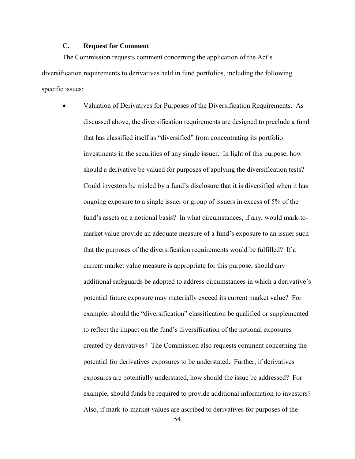# **C. Request for Comment**

The Commission requests comment concerning the application of the Act's diversification requirements to derivatives held in fund portfolios, including the following specific issues:

> • Valuation of Derivatives for Purposes of the Diversification Requirements. As discussed above, the diversification requirements are designed to preclude a fund that has classified itself as "diversified" from concentrating its portfolio investments in the securities of any single issuer. In light of this purpose, how should a derivative be valued for purposes of applying the diversification tests? Could investors be misled by a fund's disclosure that it is diversified when it has ongoing exposure to a single issuer or group of issuers in excess of 5% of the fund's assets on a notional basis? In what circumstances, if any, would mark-tomarket value provide an adequate measure of a fund's exposure to an issuer such that the purposes of the diversification requirements would be fulfilled? If a current market value measure is appropriate for this purpose, should any additional safeguards be adopted to address circumstances in which a derivative's potential future exposure may materially exceed its current market value? For example, should the "diversification" classification be qualified or supplemented to reflect the impact on the fund's diversification of the notional exposures created by derivatives? The Commission also requests comment concerning the potential for derivatives exposures to be understated. Further, if derivatives exposures are potentially understated, how should the issue be addressed? For example, should funds be required to provide additional information to investors? Also, if mark-to-market values are ascribed to derivatives for purposes of the

54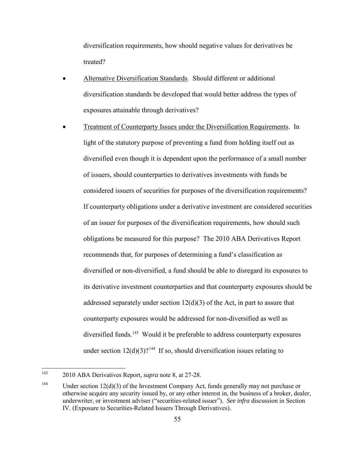diversification requirements, how should negative values for derivatives be treated?

- Alternative Diversification Standards. Should different or additional diversification standards be developed that would better address the types of exposures attainable through derivatives?
- Treatment of Counterparty Issues under the Diversification Requirements. In light of the statutory purpose of preventing a fund from holding itself out as diversified even though it is dependent upon the performance of a small number of issuers, should counterparties to derivatives investments with funds be considered issuers of securities for purposes of the diversification requirements? If counterparty obligations under a derivative investment are considered securities of an issuer for purposes of the diversification requirements, how should such obligations be measured for this purpose? The 2010 ABA Derivatives Report recommends that, for purposes of determining a fund's classification as diversified or non-diversified, a fund should be able to disregard its exposures to its derivative investment counterparties and that counterparty exposures should be addressed separately under section  $12(d)(3)$  of the Act, in part to assure that counterparty exposures would be addressed for non-diversified as well as diversified funds.<sup>143</sup> Would it be preferable to address counterparty exposures under section  $12(d)(3)$ ?<sup>[144](#page-54-1)</sup> If so, should diversification issues relating to

<span id="page-54-0"></span> $143$ 143 2010 ABA Derivatives Report, *supra* note [8,](#page-5-1) at 27-28.

<span id="page-54-1"></span><sup>&</sup>lt;sup>144</sup> Under section 12(d)(3) of the Investment Company Act, funds generally may not purchase or otherwise acquire any security issued by, or any other interest in, the business of a broker, dealer, underwriter, or investment adviser ("securities-related issuer"). *See infra* discussion in Section IV. (Exposure to Securities-Related Issuers Through Derivatives).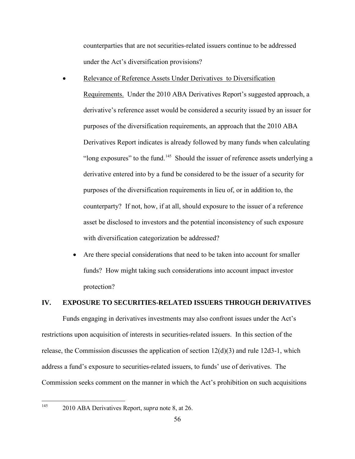counterparties that are not securities-related issuers continue to be addressed under the Act's diversification provisions?

Relevance of Reference Assets Under Derivatives to Diversification

Requirements. Under the 2010 ABA Derivatives Report's suggested approach, a derivative's reference asset would be considered a security issued by an issuer for purposes of the diversification requirements, an approach that the 2010 ABA Derivatives Report indicates is already followed by many funds when calculating "long exposures" to the fund.<sup>[145](#page-55-0)</sup> Should the issuer of reference assets underlying a derivative entered into by a fund be considered to be the issuer of a security for purposes of the diversification requirements in lieu of, or in addition to, the counterparty? If not, how, if at all, should exposure to the issuer of a reference asset be disclosed to investors and the potential inconsistency of such exposure with diversification categorization be addressed?

• Are there special considerations that need to be taken into account for smaller funds? How might taking such considerations into account impact investor protection?

## **IV. EXPOSURE TO SECURITIES-RELATED ISSUERS THROUGH DERIVATIVES**

Funds engaging in derivatives investments may also confront issues under the Act's restrictions upon acquisition of interests in securities-related issuers. In this section of the release, the Commission discusses the application of section  $12(d)(3)$  and rule 12d3-1, which address a fund's exposure to securities-related issuers, to funds' use of derivatives. The Commission seeks comment on the manner in which the Act's prohibition on such acquisitions

<span id="page-55-0"></span>145

<sup>145 2010</sup> ABA Derivatives Report, *supra* note [8,](#page-5-1) at 26.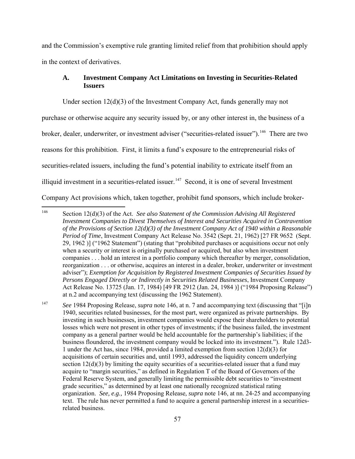and the Commission's exemptive rule granting limited relief from that prohibition should apply in the context of derivatives.

# <span id="page-56-0"></span>**A. Investment Company Act Limitations on Investing in Securities-Related Issuers**

Under section 12(d)(3) of the Investment Company Act, funds generally may not purchase or otherwise acquire any security issued by, or any other interest in, the business of a broker, dealer, underwriter, or investment adviser ("securities-related issuer").<sup>146</sup> There are two reasons for this prohibition. First, it limits a fund's exposure to the entrepreneurial risks of securities-related issuers, including the fund's potential inability to extricate itself from an illiquid investment in a securities-related issuer.<sup>[147](#page-56-2)</sup> Second, it is one of several Investment Company Act provisions which, taken together, prohibit fund sponsors, which include broker-

<span id="page-56-1"></span><sup>146</sup> Section 12(d)(3) of the Act. *See also Statement of the Commission Advising All Registered Investment Companies to Divest Themselves of Interest and Securities Acquired in Contravention of the Provisions of Section 12(d)(3) of the Investment Company Act of 1940 within a Reasonable Period of Time*, Investment Company Act Release No. 3542 (Sept. 21, 1962) [27 FR 9652 (Sept. 29, 1962 )] ("1962 Statement") (stating that "prohibited purchases or acquisitions occur not only when a security or interest is originally purchased or acquired, but also when investment companies . . . hold an interest in a portfolio company which thereafter by merger, consolidation, reorganization . . . or otherwise, acquires an interest in a dealer, broker, underwriter or investment adviser"); *Exemption for Acquisition by Registered Investment Companies of Securities Issued by Persons Engaged Directly or Indirectly in Securities Related Businesses*, Investment Company Act Release No. 13725 (Jan. 17, 1984) [49 FR 2912 (Jan. 24, 1984 )] ("1984 Proposing Release") at n.2 and accompanying text (discussing the 1962 Statement).

<span id="page-56-2"></span><sup>147</sup> *See* 1984 Proposing Release, *supra* note [146,](#page-56-0) at n. 7 and accompanying text (discussing that "[i]n 1940, securities related businesses, for the most part, were organized as private partnerships. By investing in such businesses, investment companies would expose their shareholders to potential losses which were not present in other types of investments; if the business failed, the investment company as a general partner would be held accountable for the partnership's liabilities; if the business floundered, the investment company would be locked into its investment."). Rule 12d3- 1 under the Act has, since 1984, provided a limited exemption from section  $12(d)(3)$  for acquisitions of certain securities and, until 1993, addressed the liquidity concern underlying section  $12(d)(3)$  by limiting the equity securities of a securities-related issuer that a fund may acquire to "margin securities," as defined in Regulation T of the Board of Governors of the Federal Reserve System, and generally limiting the permissible debt securities to "investment grade securities," as determined by at least one nationally recognized statistical rating organization. *See, e.g.,* 1984 Proposing Release*, supra* not[e 146,](#page-56-0) at nn. 24-25 and accompanying text. The rule has never permitted a fund to acquire a general partnership interest in a securitiesrelated business.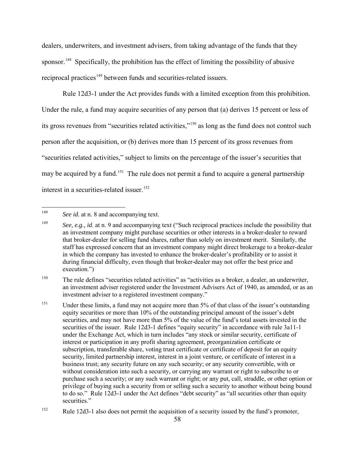dealers, underwriters, and investment advisers, from taking advantage of the funds that they sponsor.<sup>[148](#page-57-0)</sup> Specifically, the prohibition has the effect of limiting the possibility of abusive reciprocal practices<sup>[149](#page-57-1)</sup> between funds and securities-related issuers.

 Rule 12d3-1 under the Act provides funds with a limited exception from this prohibition. Under the rule, a fund may acquire securities of any person that (a) derives 15 percent or less of its gross revenues from "securities related activities,"<sup>150</sup> as long as the fund does not control such person after the acquisition, or (b) derives more than 15 percent of its gross revenues from "securities related activities," subject to limits on the percentage of the issuer's securities that may be acquired by a fund.<sup>151</sup> The rule does not permit a fund to acquire a general partnership interest in a securities-related issuer. [152](#page-57-4)

<span id="page-57-5"></span><span id="page-57-0"></span><sup>148</sup> See *id.* at n. 8 and accompanying text.

<span id="page-57-1"></span><sup>&</sup>lt;sup>149</sup> See, e.g., *id.* at n. 9 and accompanying text ("Such reciprocal practices include the possibility that an investment company might purchase securities or other interests in a broker-dealer to reward that broker-dealer for selling fund shares, rather than solely on investment merit. Similarly, the staff has expressed concern that an investment company might direct brokerage to a broker-dealer in which the company has invested to enhance the broker-dealer's profitability or to assist it during financial difficulty, even though that broker-dealer may not offer the best price and execution.")

<span id="page-57-2"></span><sup>&</sup>lt;sup>150</sup> The rule defines "securities related activities" as "activities as a broker, a dealer, an underwriter, an investment adviser registered under the Investment Advisers Act of 1940, as amended, or as an investment adviser to a registered investment company."

<span id="page-57-3"></span><sup>&</sup>lt;sup>151</sup> Under these limits, a fund may not acquire more than 5% of that class of the issuer's outstanding equity securities or more than 10% of the outstanding principal amount of the issuer's debt securities, and may not have more than 5% of the value of the fund's total assets invested in the securities of the issuer. Rule 12d3-1 defines "equity security" in accordance with rule 3a11-1 under the Exchange Act, which in turn includes "any stock or similar security, certificate of interest or participation in any profit sharing agreement, preorganization certificate or subscription, transferable share, voting trust certificate or certificate of deposit for an equity security, limited partnership interest, interest in a joint venture, or certificate of interest in a business trust; any security future on any such security; or any security convertible, with or without consideration into such a security, or carrying any warrant or right to subscribe to or purchase such a security; or any such warrant or right; or any put, call, straddle, or other option or privilege of buying such a security from or selling such a security to another without being bound to do so." Rule 12d3-1 under the Act defines "debt security" as "all securities other than equity securities."

<span id="page-57-4"></span><sup>&</sup>lt;sup>152</sup> Rule 12d3-1 also does not permit the acquisition of a security issued by the fund's promoter,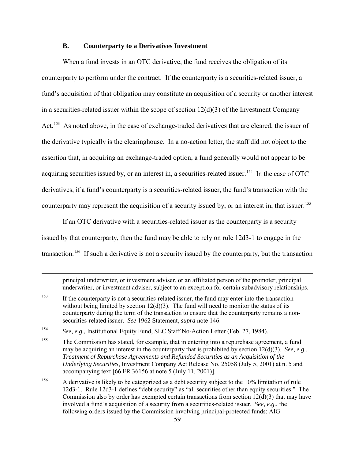#### **B. Counterparty to a Derivatives Investment**

 When a fund invests in an OTC derivative, the fund receives the obligation of its counterparty to perform under the contract. If the counterparty is a securities-related issuer, a fund's acquisition of that obligation may constitute an acquisition of a security or another interest in a securities-related issuer within the scope of section  $12(d)(3)$  of the Investment Company Act.<sup>[153](#page-58-0)</sup> As noted above, in the case of exchange-traded derivatives that are cleared, the issuer of the derivative typically is the clearinghouse. In a no-action letter, the staff did not object to the assertion that, in acquiring an exchange-traded option, a fund generally would not appear to be acquiring securities issued by, or an interest in, a securities-related issuer.<sup>154</sup> In the case of OTC derivatives, if a fund's counterparty is a securities-related issuer, the fund's transaction with the counterparty may represent the acquisition of a security issued by, or an interest in, that issuer.<sup>[155](#page-58-2)</sup>

If an OTC derivative with a securities-related issuer as the counterparty is a security issued by that counterparty, then the fund may be able to rely on rule 12d3-1 to engage in the transaction.<sup>[156](#page-58-3)</sup> If such a derivative is not a security issued by the counterparty, but the transaction

principal underwriter, or investment adviser, or an affiliated person of the promoter, principal underwriter, or investment adviser, subject to an exception for certain subadvisory relationships.

<span id="page-58-0"></span><sup>153</sup> If the counterparty is not a securities-related issuer, the fund may enter into the transaction without being limited by section  $12(d)(3)$ . The fund will need to monitor the status of its counterparty during the term of the transaction to ensure that the counterparty remains a nonsecurities-related issuer. *See* 1962 Statement, *supra* note [146.](#page-56-0)

<span id="page-58-1"></span><sup>154</sup> *See, e.g.,* Institutional Equity Fund, SEC Staff No-Action Letter (Feb. 27, 1984).

<span id="page-58-2"></span><sup>&</sup>lt;sup>155</sup> The Commission has stated, for example, that in entering into a repurchase agreement, a fund may be acquiring an interest in the counterparty that is prohibited by section 12(d)(3). *See, e.g., Treatment of Repurchase Agreements and Refunded Securities as an Acquisition of the Underlying Securities*, Investment Company Act Release No. 25058 (July 5, 2001) at n. 5 and accompanying text [66 FR 36156 at note 5 (July 11, 2001)].

<span id="page-58-3"></span><sup>&</sup>lt;sup>156</sup> A derivative is likely to be categorized as a debt security subject to the 10% limitation of rule 12d3-1. Rule 12d3-1 defines "debt security" as "all securities other than equity securities." The Commission also by order has exempted certain transactions from section  $12(d)(3)$  that may have involved a fund's acquisition of a security from a securities-related issuer. *See, e.g*., the following orders issued by the Commission involving principal-protected funds: AIG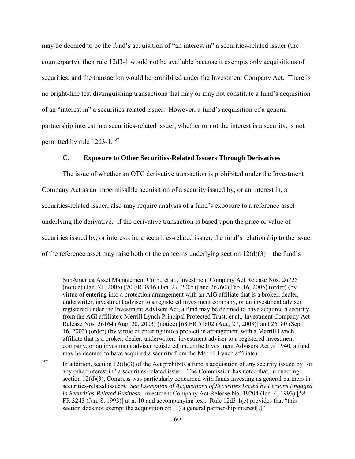may be deemed to be the fund's acquisition of "an interest in" a securities-related issuer (the counterparty), then rule 12d3-1 would not be available because it exempts only acquisitions of securities, and the transaction would be prohibited under the Investment Company Act. There is no bright-line test distinguishing transactions that may or may not constitute a fund's acquisition of an "interest in" a securities-related issuer. However, a fund's acquisition of a general partnership interest in a securities-related issuer, whether or not the interest is a security, is not permitted by rule 12d3-1.<sup>[157](#page-59-0)</sup>

### **C. Exposure to Other Securities-Related Issuers Through Derivatives**

The issue of whether an OTC derivative transaction is prohibited under the Investment Company Act as an impermissible acquisition of a security issued by, or an interest in, a securities-related issuer, also may require analysis of a fund's exposure to a reference asset underlying the derivative. If the derivative transaction is based upon the price or value of securities issued by, or interests in, a securities-related issuer, the fund's relationship to the issuer of the reference asset may raise both of the concerns underlying section  $12(d)(3)$  – the fund's

 $\overline{a}$ 

SunAmerica Asset Management Corp., et al., Investment Company Act Release Nos. 26725 (notice) (Jan. 21, 2005) [70 FR 3946 (Jan. 27, 2005)] and 26760 (Feb. 16, 2005) (order) (by virtue of entering into a protection arrangement with an AIG affiliate that is a broker, dealer, underwriter, investment adviser to a registered investment company, or an investment adviser registered under the Investment Advisers Act, a fund may be deemed to have acquired a security from the AGI affiliate); Merrill Lynch Principal Protected Trust, et al., Investment Company Act Release Nos. 26164 (Aug. 20, 2003) (notice) [68 FR 51602 (Aug. 27, 2003)] and 26180 (Sept. 16, 2003) (order) (by virtue of entering into a protection arrangement with a Merrill Lynch affiliate that is a broker, dealer, underwriter, investment adviser to a registered investment company, or an investment adviser registered under the Investment Advisers Act of 1940, a fund may be deemed to have acquired a security from the Merrill Lynch affiliate).

<span id="page-59-0"></span><sup>157</sup> In addition, section 12(d)(3) of the Act prohibits a fund's acquisition of any security issued by "or any other interest in" a securities-related issuer. The Commission has noted that, in enacting section 12(d)(3), Congress was particularly concerned with funds investing as general partners in securities-related issuers. *See Exemption of Acquisitions of Securities Issued by Persons Engaged in Securities-Related Business*, Investment Company Act Release No. 19204 (Jan. 4, 1993) [58 FR 3243 (Jan. 8, 1993)] at n. 10 and accompanying text. Rule 12d3-1(c) provides that "this section does not exempt the acquisition of: (1) a general partnership interest[.]"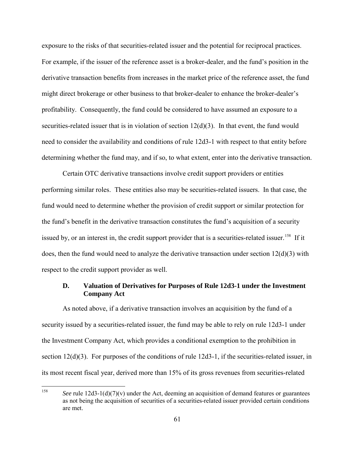exposure to the risks of that securities-related issuer and the potential for reciprocal practices. For example, if the issuer of the reference asset is a broker-dealer, and the fund's position in the derivative transaction benefits from increases in the market price of the reference asset, the fund might direct brokerage or other business to that broker-dealer to enhance the broker-dealer's profitability. Consequently, the fund could be considered to have assumed an exposure to a securities-related issuer that is in violation of section 12(d)(3). In that event, the fund would need to consider the availability and conditions of rule 12d3-1 with respect to that entity before determining whether the fund may, and if so, to what extent, enter into the derivative transaction.

 Certain OTC derivative transactions involve credit support providers or entities performing similar roles. These entities also may be securities-related issuers. In that case, the fund would need to determine whether the provision of credit support or similar protection for the fund's benefit in the derivative transaction constitutes the fund's acquisition of a security issued by, or an interest in, the credit support provider that is a securities-related issuer.<sup>[158](#page-60-0)</sup> If it does, then the fund would need to analyze the derivative transaction under section  $12(d)(3)$  with respect to the credit support provider as well.

### **D. Valuation of Derivatives for Purposes of Rule 12d3-1 under the Investment Company Act**

 As noted above, if a derivative transaction involves an acquisition by the fund of a security issued by a securities-related issuer, the fund may be able to rely on rule 12d3-1 under the Investment Company Act, which provides a conditional exemption to the prohibition in section 12(d)(3). For purposes of the conditions of rule 12d3-1, if the securities-related issuer, in its most recent fiscal year, derived more than 15% of its gross revenues from securities-related

<span id="page-60-0"></span><sup>158</sup> *See* rule 12d3-1(d)(7)(v) under the Act, deeming an acquisition of demand features or guarantees as not being the acquisition of securities of a securities-related issuer provided certain conditions are met.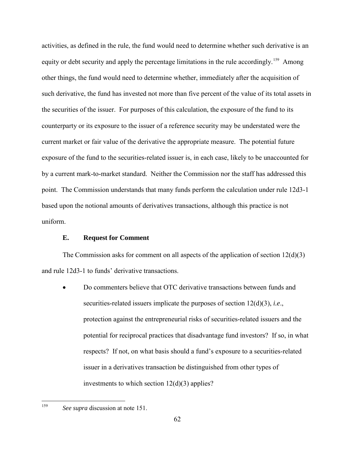activities, as defined in the rule, the fund would need to determine whether such derivative is an equity or debt security and apply the percentage limitations in the rule accordingly.<sup>[159](#page-61-0)</sup> Among other things, the fund would need to determine whether, immediately after the acquisition of such derivative, the fund has invested not more than five percent of the value of its total assets in the securities of the issuer. For purposes of this calculation, the exposure of the fund to its counterparty or its exposure to the issuer of a reference security may be understated were the current market or fair value of the derivative the appropriate measure. The potential future exposure of the fund to the securities-related issuer is, in each case, likely to be unaccounted for by a current mark-to-market standard. Neither the Commission nor the staff has addressed this point. The Commission understands that many funds perform the calculation under rule 12d3-1 based upon the notional amounts of derivatives transactions, although this practice is not uniform.

### **E. Request for Comment**

The Commission asks for comment on all aspects of the application of section  $12(d)(3)$ and rule 12d3-1 to funds' derivative transactions.

• Do commenters believe that OTC derivative transactions between funds and securities-related issuers implicate the purposes of section 12(d)(3), *i.e*., protection against the entrepreneurial risks of securities-related issuers and the potential for reciprocal practices that disadvantage fund investors? If so, in what respects? If not, on what basis should a fund's exposure to a securities-related issuer in a derivatives transaction be distinguished from other types of investments to which section 12(d)(3) applies?

<span id="page-61-0"></span><sup>159</sup> See *supra* discussion at note [151.](#page-57-5)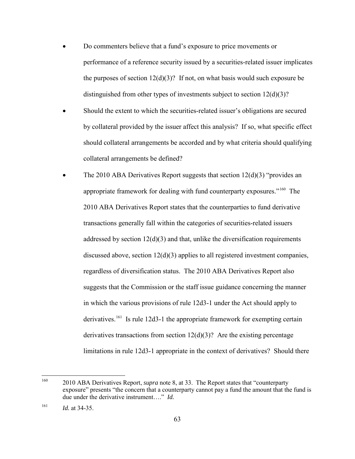- Do commenters believe that a fund's exposure to price movements or performance of a reference security issued by a securities-related issuer implicates the purposes of section  $12(d)(3)$ ? If not, on what basis would such exposure be distinguished from other types of investments subject to section  $12(d)(3)$ ?
- Should the extent to which the securities-related issuer's obligations are secured by collateral provided by the issuer affect this analysis? If so, what specific effect should collateral arrangements be accorded and by what criteria should qualifying collateral arrangements be defined?
- The 2010 ABA Derivatives Report suggests that section  $12(d)(3)$  "provides an appropriate framework for dealing with fund counterparty exposures."<sup>160</sup> The 2010 ABA Derivatives Report states that the counterparties to fund derivative transactions generally fall within the categories of securities-related issuers addressed by section  $12(d)(3)$  and that, unlike the diversification requirements discussed above, section 12(d)(3) applies to all registered investment companies, regardless of diversification status. The 2010 ABA Derivatives Report also suggests that the Commission or the staff issue guidance concerning the manner in which the various provisions of rule 12d3-1 under the Act should apply to derivatives.<sup>[161](#page-62-1)</sup> Is rule 12d3-1 the appropriate framework for exempting certain derivatives transactions from section  $12(d)(3)$ ? Are the existing percentage limitations in rule 12d3-1 appropriate in the context of derivatives? Should there

<span id="page-62-0"></span><sup>160</sup> <sup>160</sup> 2010 ABA Derivatives Report, *supra* note [8,](#page-5-1) at 33. The Report states that "counterparty" exposure" presents "the concern that a counterparty cannot pay a fund the amount that the fund is due under the derivative instrument…." *Id.*

<span id="page-62-1"></span> $161$  *Id.* at 34-35.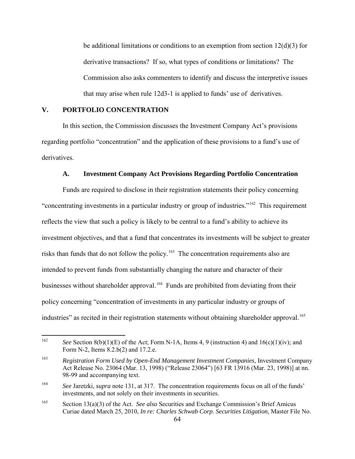be additional limitations or conditions to an exemption from section  $12(d)(3)$  for derivative transactions? If so, what types of conditions or limitations? The Commission also asks commenters to identify and discuss the interpretive issues that may arise when rule 12d3-1 is applied to funds' use of derivatives.

## **V. PORTFOLIO CONCENTRATION**

 In this section, the Commission discusses the Investment Company Act's provisions regarding portfolio "concentration" and the application of these provisions to a fund's use of derivatives.

### <span id="page-63-4"></span>**A. Investment Company Act Provisions Regarding Portfolio Concentration**

 Funds are required to disclose in their registration statements their policy concerning "concentrating investments in a particular industry or group of industries."[162](#page-63-0) This requirement reflects the view that such a policy is likely to be central to a fund's ability to achieve its investment objectives, and that a fund that concentrates its investments will be subject to greater risks than funds that do not follow the policy.<sup>[163](#page-63-1)</sup> The concentration requirements also are intended to prevent funds from substantially changing the nature and character of their businesses without shareholder approval.<sup>[164](#page-63-2)</sup> Funds are prohibited from deviating from their policy concerning "concentration of investments in any particular industry or groups of industries" as recited in their registration statements without obtaining shareholder approval.<sup>[165](#page-63-3)</sup>

<span id="page-63-5"></span><span id="page-63-0"></span><sup>162</sup> See Section 8(b)(1)(E) of the Act; Form N-1A, Items 4, 9 (instruction 4) and  $16(c)(1)(iv)$ ; and Form N-2, Items 8.2.b(2) and 17.2.e.

<span id="page-63-1"></span><sup>163</sup> *Registration Form Used by Open-End Management Investment Companies*, Investment Company Act Release No. 23064 (Mar. 13, 1998) ("Release 23064") [63 FR 13916 (Mar. 23, 1998)] at nn. 98-99 and accompanying text.

<span id="page-63-2"></span><sup>164</sup> *See* Jaretzki, *supra* note [131,](#page-49-4) at 317. The concentration requirements focus on all of the funds' investments, and not solely on their investments in securities.

<span id="page-63-3"></span><sup>165</sup> Section 13(a)(3) of the Act. *See also* Securities and Exchange Commission's Brief Amicus Curiae dated March 25, 2010, *In re: Charles Schwab Corp*. *Securities Litigation*, Master File No.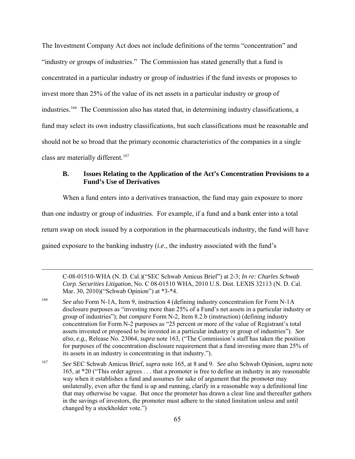The Investment Company Act does not include definitions of the terms "concentration" and "industry or groups of industries." The Commission has stated generally that a fund is concentrated in a particular industry or group of industries if the fund invests or proposes to invest more than 25% of the value of its net assets in a particular industry or group of industries.<sup>166</sup> The Commission also has stated that, in determining industry classifications, a fund may select its own industry classifications, but such classifications must be reasonable and should not be so broad that the primary economic characteristics of the companies in a single class are materially different.<sup>[167](#page-64-1)</sup>

# **B. Issues Relating to the Application of the Act's Concentration Provisions to a Fund's Use of Derivatives**

When a fund enters into a derivatives transaction, the fund may gain exposure to more than one industry or group of industries. For example, if a fund and a bank enter into a total return swap on stock issued by a corporation in the pharmaceuticals industry, the fund will have gained exposure to the banking industry (*i.e*., the industry associated with the fund's

C-08-01510-WHA (N. D. Cal.)("SEC Schwab Amicus Brief") at 2-3; *In re: Charles Schwab Corp. Securities Litigation*, No. C 08-01510 WHA, 2010 U.S. Dist. LEXIS 32113 (N. D. Cal. Mar. 30, 2010)("Schwab Opinion") at \*3-\*4.

<span id="page-64-0"></span><sup>166</sup> *See also* Form N-1A, Item 9, instruction 4 (defining industry concentration for Form N-1A disclosure purposes as "investing more than 25% of a Fund's net assets in a particular industry or group of industries"); *but compare* Form N-2, Item 8.2.b (instruction) (defining industry concentration for Form N-2 purposes as "25 percent or more of the value of Registrant's total assets invested or proposed to be invested in a particular industry or group of industries"). *See also, e.g.,* Release No. 23064, *supra* note [163,](#page-63-4) ("The Commission's staff has taken the position for purposes of the concentration disclosure requirement that a fund investing more than 25% of its assets in an industry is concentrating in that industry.").

<span id="page-64-1"></span><sup>167</sup> *See* SEC Schwab Amicus Brief, *supra* note [165,](#page-63-5) at 8 and 9. *See also* Schwab Opinion, *supra* note [165,](#page-63-5) at \*20 ("This order agrees . . . that a promoter is free to define an industry in any reasonable way when it establishes a fund and assumes for sake of argument that the promoter may unilaterally, even after the fund is up and running, clarify in a reasonable way a definitional line that may otherwise be vague. But once the promoter has drawn a clear line and thereafter gathers in the savings of investors, the promoter must adhere to the stated limitation unless and until changed by a stockholder vote.")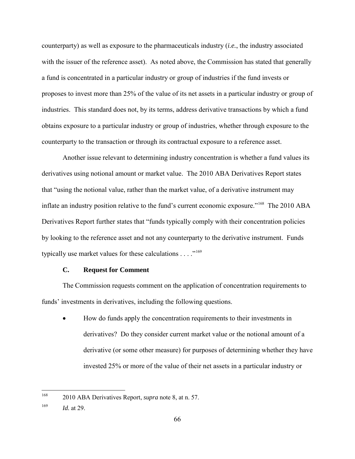counterparty) as well as exposure to the pharmaceuticals industry (*i.e.*, the industry associated with the issuer of the reference asset). As noted above, the Commission has stated that generally a fund is concentrated in a particular industry or group of industries if the fund invests or proposes to invest more than 25% of the value of its net assets in a particular industry or group of industries. This standard does not, by its terms, address derivative transactions by which a fund obtains exposure to a particular industry or group of industries, whether through exposure to the counterparty to the transaction or through its contractual exposure to a reference asset.

 Another issue relevant to determining industry concentration is whether a fund values its derivatives using notional amount or market value. The 2010 ABA Derivatives Report states that "using the notional value, rather than the market value, of a derivative instrument may inflate an industry position relative to the fund's current economic exposure."[168](#page-65-0) The 2010 ABA Derivatives Report further states that "funds typically comply with their concentration policies by looking to the reference asset and not any counterparty to the derivative instrument. Funds typically use market values for these calculations  $\dots$ ."<sup>[169](#page-65-1)</sup>

#### **C. Request for Comment**

 The Commission requests comment on the application of concentration requirements to funds' investments in derivatives, including the following questions.

• How do funds apply the concentration requirements to their investments in derivatives? Do they consider current market value or the notional amount of a derivative (or some other measure) for purposes of determining whether they have invested 25% or more of the value of their net assets in a particular industry or

<span id="page-65-0"></span><sup>168</sup> 168 2010 ABA Derivatives Report, *supra* note [8,](#page-5-1) at n. 57.

<span id="page-65-1"></span><sup>169</sup> *Id.* at 29.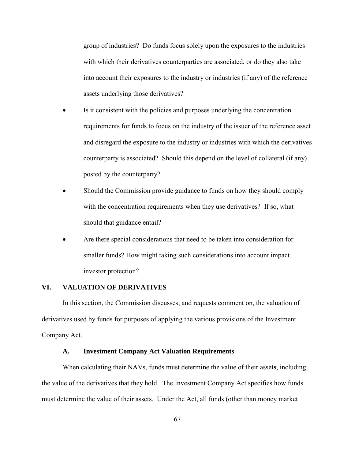group of industries? Do funds focus solely upon the exposures to the industries with which their derivatives counterparties are associated, or do they also take into account their exposures to the industry or industries (if any) of the reference assets underlying those derivatives?

- Is it consistent with the policies and purposes underlying the concentration requirements for funds to focus on the industry of the issuer of the reference asset and disregard the exposure to the industry or industries with which the derivatives counterparty is associated? Should this depend on the level of collateral (if any) posted by the counterparty?
- Should the Commission provide guidance to funds on how they should comply with the concentration requirements when they use derivatives? If so, what should that guidance entail?
- Are there special considerations that need to be taken into consideration for smaller funds? How might taking such considerations into account impact investor protection?

## **VI. VALUATION OF DERIVATIVES**

 In this section, the Commission discusses, and requests comment on, the valuation of derivatives used by funds for purposes of applying the various provisions of the Investment Company Act.

### **A. Investment Company Act Valuation Requirements**

When calculating their NAVs, funds must determine the value of their asset**s**, including the value of the derivatives that they hold. The Investment Company Act specifies how funds must determine the value of their assets. Under the Act, all funds (other than money market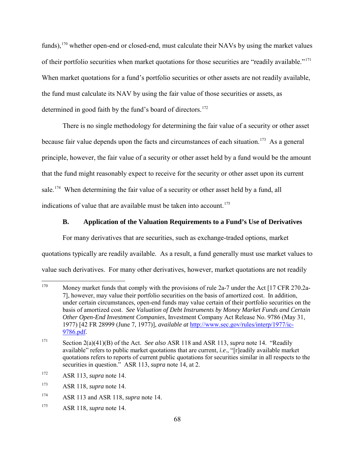funds),  $170$  whether open-end or closed-end, must calculate their NAVs by using the market values of their portfolio securities when market quotations for those securities are "readily available."[171](#page-67-1) When market quotations for a fund's portfolio securities or other assets are not readily available, the fund must calculate its NAV by using the fair value of those securities or assets, as determined in good faith by the fund's board of directors.<sup>[172](#page-67-2)</sup>

There is no single methodology for determining the fair value of a security or other asset because fair value depends upon the facts and circumstances of each situation.<sup>173</sup> As a general principle, however, the fair value of a security or other asset held by a fund would be the amount that the fund might reasonably expect to receive for the security or other asset upon its current sale.<sup>174</sup> When determining the fair value of a security or other asset held by a fund, all indications of value that are available must be taken into account.<sup>[175](#page-67-5)</sup>

### **B. Application of the Valuation Requirements to a Fund's Use of Derivatives**

For many derivatives that are securities, such as exchange-traded options, market quotations typically are readily available. As a result, a fund generally must use market values to

value such derivatives. For many other derivatives, however, market quotations are not readily

<span id="page-67-0"></span><sup>170</sup> Money market funds that comply with the provisions of rule 2a-7 under the Act [17 CFR 270.2a-7], however, may value their portfolio securities on the basis of amortized cost. In addition, under certain circumstances, open-end funds may value certain of their portfolio securities on the basis of amortized cost. *See Valuation of Debt Instruments by Money Market Funds and Certain Other Open-End Investment Companies*, Investment Company Act Release No. 9786 (May 31, 1977) [42 FR 28999 (June 7, 1977)], *available at* [http://www.sec.gov/rules/interp/1977/ic-](http://www.sec.gov/rules/interp/1977/ic-9786.pdf)[9786.pdf.](http://www.sec.gov/rules/interp/1977/ic-9786.pdf)

<span id="page-67-1"></span><sup>171</sup> Section 2(a)(41)(B) of the Act. *See also* ASR 118 and ASR 113, *supra* note [14.](#page-7-7) "Readily available" refers to public market quotations that are current, *i.e*., "[r]eadily available market quotations refers to reports of current public quotations for securities similar in all respects to the securities in question." ASR 113, *supra* note [14,](#page-7-7) at 2.

<span id="page-67-2"></span><sup>172</sup> ASR 113, *supra* note [14.](#page-7-7)

<span id="page-67-3"></span><sup>173</sup> ASR 118, *supra* note [14.](#page-7-7)

<span id="page-67-4"></span><sup>174</sup> ASR 113 and ASR 118, *supra* note [14.](#page-7-7)

<span id="page-67-5"></span><sup>175</sup> ASR 118, *supra* note [14.](#page-7-7)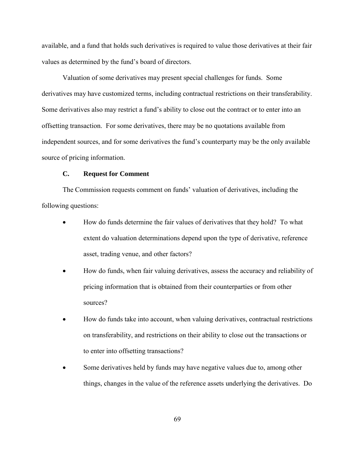available, and a fund that holds such derivatives is required to value those derivatives at their fair values as determined by the fund's board of directors.

Valuation of some derivatives may present special challenges for funds. Some derivatives may have customized terms, including contractual restrictions on their transferability. Some derivatives also may restrict a fund's ability to close out the contract or to enter into an offsetting transaction. For some derivatives, there may be no quotations available from independent sources, and for some derivatives the fund's counterparty may be the only available source of pricing information.

#### **C. Request for Comment**

The Commission requests comment on funds' valuation of derivatives, including the following questions:

- How do funds determine the fair values of derivatives that they hold? To what extent do valuation determinations depend upon the type of derivative, reference asset, trading venue, and other factors?
- How do funds, when fair valuing derivatives, assess the accuracy and reliability of pricing information that is obtained from their counterparties or from other sources?
- How do funds take into account, when valuing derivatives, contractual restrictions on transferability, and restrictions on their ability to close out the transactions or to enter into offsetting transactions?
- Some derivatives held by funds may have negative values due to, among other things, changes in the value of the reference assets underlying the derivatives. Do